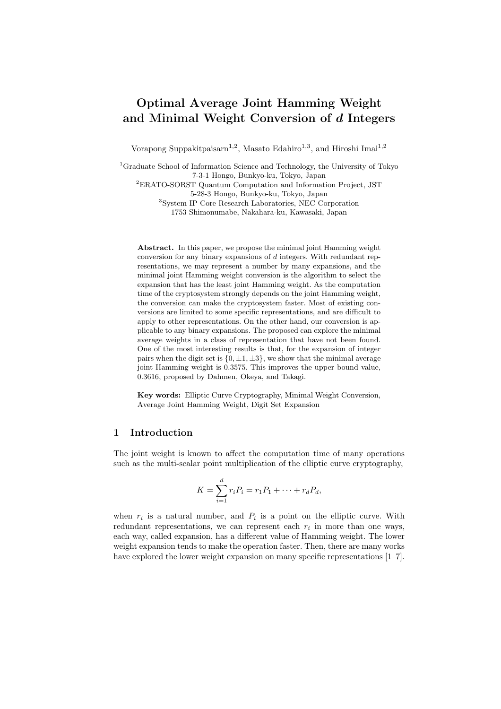# Optimal Average Joint Hamming Weight and Minimal Weight Conversion of d Integers

Vorapong Suppakitpaisarn<sup>1,2</sup>, Masato Edahiro<sup>1,3</sup>, and Hiroshi Imai<sup>1,2</sup>

<sup>1</sup>Graduate School of Information Science and Technology, the University of Tokyo 7-3-1 Hongo, Bunkyo-ku, Tokyo, Japan <sup>2</sup>ERATO-SORST Quantum Computation and Information Project, JST 5-28-3 Hongo, Bunkyo-ku, Tokyo, Japan <sup>3</sup>System IP Core Research Laboratories, NEC Corporation

1753 Shimonumabe, Nakahara-ku, Kawasaki, Japan

Abstract. In this paper, we propose the minimal joint Hamming weight conversion for any binary expansions of d integers. With redundant representations, we may represent a number by many expansions, and the minimal joint Hamming weight conversion is the algorithm to select the expansion that has the least joint Hamming weight. As the computation time of the cryptosystem strongly depends on the joint Hamming weight, the conversion can make the cryptosystem faster. Most of existing conversions are limited to some specific representations, and are difficult to apply to other representations. On the other hand, our conversion is applicable to any binary expansions. The proposed can explore the minimal average weights in a class of representation that have not been found. One of the most interesting results is that, for the expansion of integer pairs when the digit set is  $\{0, \pm 1, \pm 3\}$ , we show that the minimal average joint Hamming weight is 0.3575. This improves the upper bound value, 0.3616, proposed by Dahmen, Okeya, and Takagi.

Key words: Elliptic Curve Cryptography, Minimal Weight Conversion, Average Joint Hamming Weight, Digit Set Expansion

### 1 Introduction

The joint weight is known to affect the computation time of many operations such as the multi-scalar point multiplication of the elliptic curve cryptography,

$$
K = \sum_{i=1}^{d} r_i P_i = r_1 P_1 + \dots + r_d P_d,
$$

when  $r_i$  is a natural number, and  $P_i$  is a point on the elliptic curve. With redundant representations, we can represent each  $r_i$  in more than one ways, each way, called expansion, has a different value of Hamming weight. The lower weight expansion tends to make the operation faster. Then, there are many works have explored the lower weight expansion on many specific representations  $[1-7]$ .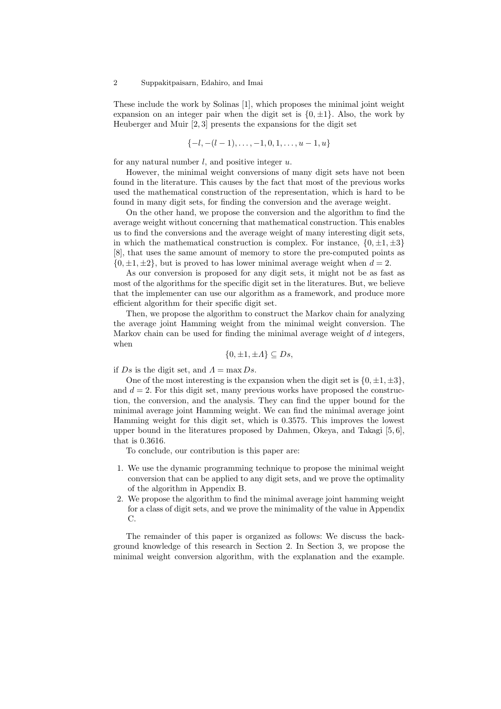These include the work by Solinas [1], which proposes the minimal joint weight expansion on an integer pair when the digit set is  $\{0, \pm 1\}$ . Also, the work by Heuberger and Muir [2, 3] presents the expansions for the digit set

$$
\{-l, -(l-1), \ldots, -1, 0, 1, \ldots, u-1, u\}
$$

for any natural number  $l$ , and positive integer  $u$ .

However, the minimal weight conversions of many digit sets have not been found in the literature. This causes by the fact that most of the previous works used the mathematical construction of the representation, which is hard to be found in many digit sets, for finding the conversion and the average weight.

On the other hand, we propose the conversion and the algorithm to find the average weight without concerning that mathematical construction. This enables us to find the conversions and the average weight of many interesting digit sets, in which the mathematical construction is complex. For instance,  $\{0, \pm 1, \pm 3\}$ [8], that uses the same amount of memory to store the pre-computed points as  $\{0, \pm 1, \pm 2\}$ , but is proved to has lower minimal average weight when  $d = 2$ .

As our conversion is proposed for any digit sets, it might not be as fast as most of the algorithms for the specific digit set in the literatures. But, we believe that the implementer can use our algorithm as a framework, and produce more efficient algorithm for their specific digit set.

Then, we propose the algorithm to construct the Markov chain for analyzing the average joint Hamming weight from the minimal weight conversion. The Markov chain can be used for finding the minimal average weight of  $d$  integers, when

$$
\{0, \pm 1, \pm A\} \subseteq Ds,
$$

if Ds is the digit set, and  $\Lambda = \max DS$ .

One of the most interesting is the expansion when the digit set is  $\{0, \pm 1, \pm 3\}$ , and  $d = 2$ . For this digit set, many previous works have proposed the construction, the conversion, and the analysis. They can find the upper bound for the minimal average joint Hamming weight. We can find the minimal average joint Hamming weight for this digit set, which is 0.3575. This improves the lowest upper bound in the literatures proposed by Dahmen, Okeya, and Takagi [5, 6], that is 0.3616.

To conclude, our contribution is this paper are:

- 1. We use the dynamic programming technique to propose the minimal weight conversion that can be applied to any digit sets, and we prove the optimality of the algorithm in Appendix B.
- 2. We propose the algorithm to find the minimal average joint hamming weight for a class of digit sets, and we prove the minimality of the value in Appendix C.

The remainder of this paper is organized as follows: We discuss the background knowledge of this research in Section 2. In Section 3, we propose the minimal weight conversion algorithm, with the explanation and the example.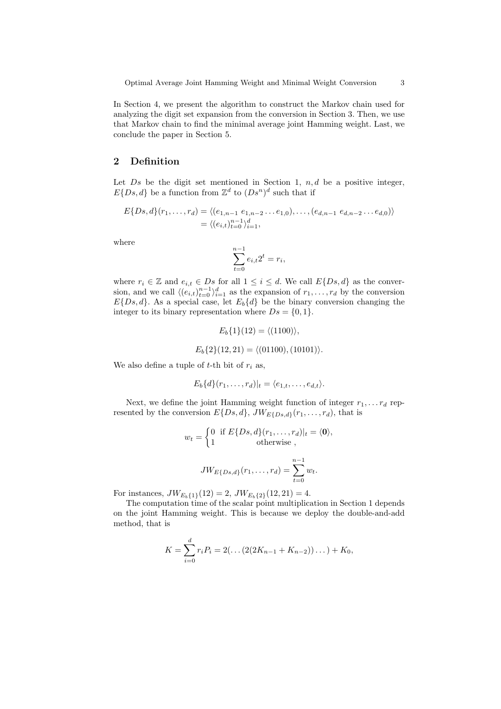In Section 4, we present the algorithm to construct the Markov chain used for analyzing the digit set expansion from the conversion in Section 3. Then, we use that Markov chain to find the minimal average joint Hamming weight. Last, we conclude the paper in Section 5.

# 2 Definition

Let  $Ds$  be the digit set mentioned in Section 1,  $n, d$  be a positive integer,  $E\{Ds, d\}$  be a function from  $\mathbb{Z}^d$  to  $(Ds^n)^d$  such that if

$$
E\{Ds,d\}(r_1,\ldots,r_d) = \langle (e_{1,n-1} \ e_{1,n-2} \ldots e_{1,0}), \ldots, (e_{d,n-1} \ e_{d,n-2} \ldots e_{d,0}) \rangle
$$
  
=  $\langle (e_{i,t})_{t=0}^{n-1} \rangle_{i=1}^d$ ,

where

$$
\sum_{t=0}^{n-1} e_{i,t} 2^t = r_i,
$$

where  $r_i \in \mathbb{Z}$  and  $e_{i,t} \in Ds$  for all  $1 \leq i \leq d$ . We call  $E\{Ds, d\}$  as the conversion, and we call  $\langle (e_{i,t})_{t=0}^{n-1} \rangle_{i=1}^d$  as the expansion of  $r_1, \ldots, r_d$  by the conversion  $E\{Ds, d\}$ . As a special case, let  $E_b\{d\}$  be the binary conversion changing the integer to its binary representation where  $Ds = \{0, 1\}.$ 

$$
E_b\{1\}(12) = \langle (1100) \rangle,
$$
  

$$
E_b\{2\}(12, 21) = \langle (01100), (10101) \rangle.
$$

We also define a tuple of t-th bit of  $r_i$  as,

$$
E_b\{d\}(r_1,\ldots,r_d)|_t=\langle e_{1,t},\ldots,e_{d,t}\rangle.
$$

Next, we define the joint Hamming weight function of integer  $r_1, \ldots r_d$  represented by the conversion  $E\{Ds, d\}$ ,  $JW_{E\{Ds, d\}}(r_1, \ldots, r_d)$ , that is

$$
w_t = \begin{cases} 0 & \text{if } E\{Ds, d\}(r_1, \dots, r_d)|_t = \langle \mathbf{0} \rangle, \\ 1 & \text{otherwise} \end{cases}
$$

$$
JW_{E\{Ds, d\}}(r_1, \dots, r_d) = \sum_{t=0}^{n-1} w_t.
$$

For instances,  $JW_{E_b{1}}(12) = 2$ ,  $JW_{E_b{2}}(12, 21) = 4$ .

The computation time of the scalar point multiplication in Section 1 depends on the joint Hamming weight. This is because we deploy the double-and-add method, that is

$$
K = \sum_{i=0}^{d} r_i P_i = 2(\dots(2(2K_{n-1} + K_{n-2}))\dots) + K_0,
$$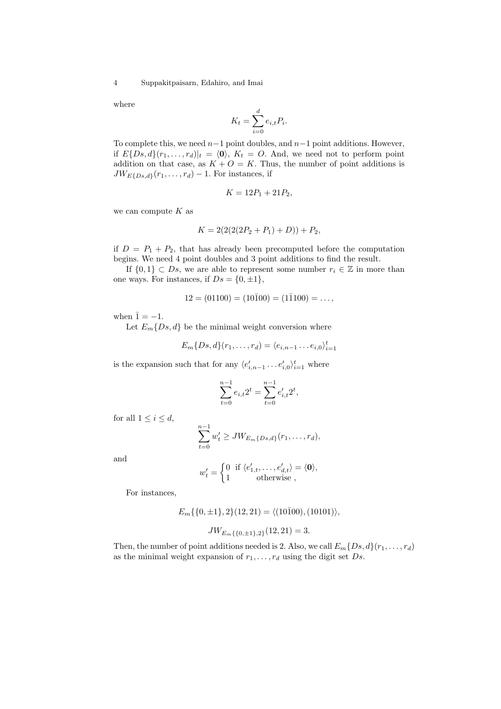where

$$
K_t = \sum_{i=0}^d e_{i,t} P_i.
$$

To complete this, we need  $n-1$  point doubles, and  $n-1$  point additions. However, if  $E\{Ds, d\}(r_1, \ldots, r_d)|_t = \langle 0 \rangle$ ,  $K_t = O$ . And, we need not to perform point addition on that case, as  $K + O = K$ . Thus, the number of point additions is  $JW_{E\{Ds,d\}}(r_1,\ldots,r_d)-1$ . For instances, if

$$
K = 12P_1 + 21P_2,
$$

we can compute  $K$  as

$$
K = 2(2(2(P_2 + P_1) + D)) + P_2,
$$

if  $D = P_1 + P_2$ , that has already been precomputed before the computation begins. We need 4 point doubles and 3 point additions to find the result.

If  $\{0,1\} \subset Ds$ , we are able to represent some number  $r_i \in \mathbb{Z}$  in more than one ways. For instances, if  $Ds = \{0, \pm 1\},\$ 

$$
12 = (01100) = (10\overline{1}00) = (1\overline{1}100) = \dots,
$$

when  $\bar{1} = -1$ .

Let  $E_m\{Ds, d\}$  be the minimal weight conversion where

$$
E_m\{Ds, d\}(r_1, \ldots, r_d) = \langle e_{i,n-1} \ldots e_{i,0} \rangle_{i=1}^t
$$

is the expansion such that for any  $\langle e'_{i,n-1} \dots e'_{i,0} \rangle_{i=1}^t$  where

$$
\sum_{t=0}^{n-1} e_{i,t} 2^t = \sum_{t=0}^{n-1} e'_{i,t} 2^t,
$$

for all  $1 \leq i \leq d$ ,

$$
\sum_{t=0}^{n-1} w'_t \geq JW_{E_m\{Ds,d\}}(r_1,\ldots,r_d),
$$

and

$$
w'_t = \begin{cases} 0 & \text{if } \langle e'_{1,t}, \dots, e'_{d,t} \rangle = \langle \mathbf{0} \rangle, \\ 1 & \text{otherwise} \end{cases}
$$

For instances,

$$
E_m\{\{0, \pm 1\}, 2\}(12, 21) = \langle (10\overline{1}00), (10101) \rangle,
$$
  

$$
JW_{E_m\{\{0, \pm 1\}, 2\}}(12, 21) = 3.
$$

Then, the number of point additions needed is 2. Also, we call  $E_m\{Ds, d\}(r_1, \ldots, r_d)$ as the minimal weight expansion of  $r_1, \ldots, r_d$  using the digit set  $Ds$ .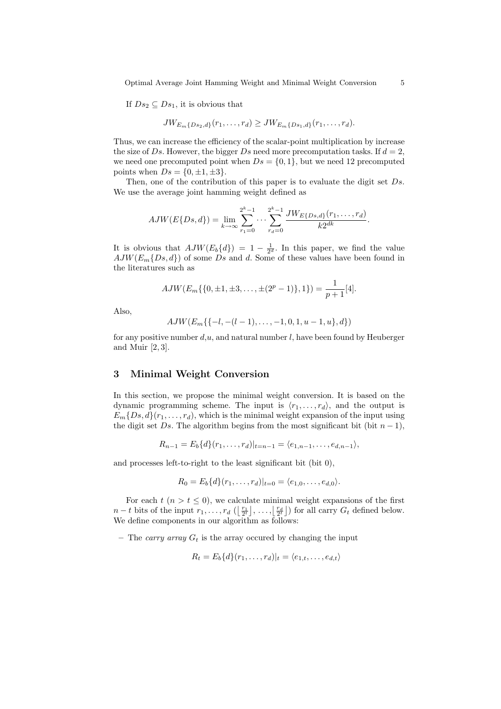Optimal Average Joint Hamming Weight and Minimal Weight Conversion 5

If  $Ds_2 \subseteq Ds_1$ , it is obvious that

$$
JW_{E_m\{Ds_2,d\}}(r_1,\ldots,r_d) \geq JW_{E_m\{Ds_1,d\}}(r_1,\ldots,r_d).
$$

Thus, we can increase the efficiency of the scalar-point multiplication by increase the size of Ds. However, the bigger Ds need more precomputation tasks. If  $d = 2$ , we need one precomputed point when  $Ds = \{0, 1\}$ , but we need 12 precomputed points when  $Ds = \{0, \pm 1, \pm 3\}.$ 

Then, one of the contribution of this paper is to evaluate the digit set  $Ds$ . We use the average joint hamming weight defined as

$$
AJW(E\{Ds,d\}) = \lim_{k \to \infty} \sum_{r_1=0}^{2^k-1} \cdots \sum_{r_d=0}^{2^k-1} \frac{JW_{E\{Ds,d\}}(r_1,\ldots,r_d)}{k2^{dk}}.
$$

It is obvious that  $AJW(E_b{d}) = 1 - \frac{1}{2^d}$ . In this paper, we find the value  $AJW(E_m\{Ds, d\})$  of some Ds and d. Some of these values have been found in the literatures such as

$$
AJW(E_m\{\{0,\pm 1,\pm 3,\ldots,\pm(2^p-1)\},1\})=\frac{1}{p+1}[4].
$$

Also,

$$
AJW(E_m\{\{-l,-(l-1),\ldots,-1,0,1,u-1,u\},d\})
$$

for any positive number  $d, u$ , and natural number l, have been found by Heuberger and Muir [2, 3].

## 3 Minimal Weight Conversion

In this section, we propose the minimal weight conversion. It is based on the dynamic programming scheme. The input is  $\langle r_1, \ldots, r_d \rangle$ , and the output is  $E_m\{Ds, d\}(r_1, \ldots, r_d)$ , which is the minimal weight expansion of the input using the digit set Ds. The algorithm begins from the most significant bit (bit  $n-1$ ),

$$
R_{n-1} = E_b\{d\}(r_1,\ldots,r_d)|_{t=n-1} = \langle e_{1,n-1},\ldots,e_{d,n-1} \rangle,
$$

and processes left-to-right to the least significant bit (bit 0),

$$
R_0 = E_b\{d\}(r_1,\ldots,r_d)|_{t=0} = \langle e_{1,0},\ldots,e_{d,0} \rangle.
$$

For each  $t$   $(n > t \leq 0)$ , we calculate minimal weight expansions of the first For each  $t$  ( $n > t \leq 0$ ), we calculate minimal weight expansions of the first  $n-t$  bits of the input  $r_1, \ldots, r_d$  ( $\lfloor \frac{r_d}{2t} \rfloor, \ldots, \lfloor \frac{r_d}{2t} \rfloor$ ) for all carry  $G_t$  defined below. We define components in our algorithm as follows:

– The carry array  $G_t$  is the array occured by changing the input

$$
R_t = E_b\{d\}(r_1,\ldots,r_d)|_t = \langle e_{1,t},\ldots,e_{d,t}\rangle
$$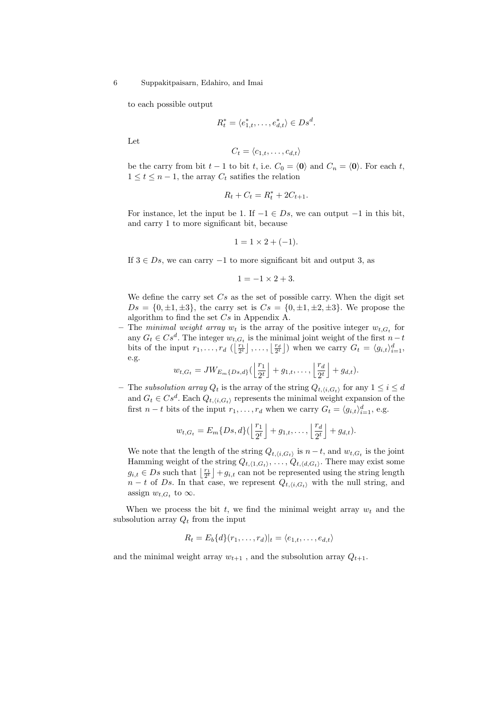to each possible output

$$
R_t^* = \langle e_{1,t}^*, \dots, e_{d,t}^* \rangle \in Ds^d.
$$

Let

$$
C_t = \langle c_{1,t}, \ldots, c_{d,t} \rangle
$$

be the carry from bit  $t - 1$  to bit  $t$ , i.e.  $C_0 = \langle 0 \rangle$  and  $C_n = \langle 0 \rangle$ . For each  $t$ ,  $1 \leq t \leq n-1$ , the array  $C_t$  satifies the relation

$$
R_t + C_t = R_t^* + 2C_{t+1}.
$$

For instance, let the input be 1. If  $-1 \in D_s$ , we can output  $-1$  in this bit, and carry 1 to more significant bit, because

$$
1 = 1 \times 2 + (-1).
$$

If  $3 \in D_s$ , we can carry  $-1$  to more significant bit and output 3, as

 $1 = -1 \times 2 + 3.$ 

We define the carry set  $Cs$  as the set of possible carry. When the digit set  $Ds = \{0, \pm 1, \pm 3\}$ , the carry set is  $Cs = \{0, \pm 1, \pm 2, \pm 3\}$ . We propose the algorithm to find the set  $Cs$  in Appendix A.

– The minimal weight array  $w_t$  is the array of the positive integer  $w_{t,G_t}$  for any  $G_t \in Cs^d$ . The integer  $w_{t,G_t}$  is the minimal joint weight of the first  $n-t$ any  $G_t \in \mathbb{C}$  s<sup>o</sup>. The integer  $w_{t,G_t}$  is the minimal joint weight of the first  $n-t$  bits of the input  $r_1, \ldots, r_d$  ( $\left(\frac{r_1}{2^t}\right), \ldots, \left(\frac{r_d}{2^t}\right]$ ) when we carry  $G_t = \langle g_{i,t} \rangle_{i=1}^d$ , e.g. j k k

$$
w_{t,G_t} = JW_{E_m\{Ds,d\}}(\left\lfloor \frac{r_1}{2^t} \right\rfloor + g_{1,t}, \ldots, \left\lfloor \frac{r_d}{2^t} \right\rfloor + g_{d,t}).
$$

– The subsolution array  $Q_t$  is the array of the string  $Q_{t,\langle i,G_t\rangle}$  for any  $1\leq i\leq d$ and  $G_t \in Cs^d$ . Each  $Q_{t,\langle i,G_t \rangle}$  represents the minimal weight expansion of the first  $n-t$  bits of the input  $r_1, \ldots, r_d$  when we carry  $G_t = \langle g_{i,t} \rangle_{i=1}^d$ , e.g.

$$
w_{t,G_t} = E_m\{Ds,d\}(\left\lfloor \frac{r_1}{2^t} \right\rfloor + g_{1,t},\ldots, \left\lfloor \frac{r_d}{2^t} \right\rfloor + g_{d,t}).
$$

We note that the length of the string  $Q_{t,\langle i,G_t \rangle}$  is  $n-t$ , and  $w_{t,G_t}$  is the joint Hamming weight of the string  $Q_{t,(1,G_t)}, \ldots, Q_{t,(d,G_t)}$ . There may exist some Training weight of the string  $\mathcal{Q}_{t,\langle 1,G_t\rangle},\ldots,\mathcal{Q}_{t,\langle d,G_t\rangle}$ . There may exist some  $g_{i,t} \in Ds$  such that  $\left\lfloor \frac{r_1}{2^t} \right\rfloor + g_{i,t}$  can not be represented using the string length  $n - t$  of Ds. In that case, we represent  $Q_{t,i,G_t}$  with the null string, and assign  $w_{t,G_t}$  to  $\infty$ .

When we process the bit t, we find the minimal weight array  $w_t$  and the subsolution array  $Q_t$  from the input

$$
R_t = E_b\{d\}(r_1,\ldots,r_d)|_t = \langle e_{1,t},\ldots,e_{d,t}\rangle
$$

and the minimal weight array  $w_{t+1}$ , and the subsolution array  $Q_{t+1}$ .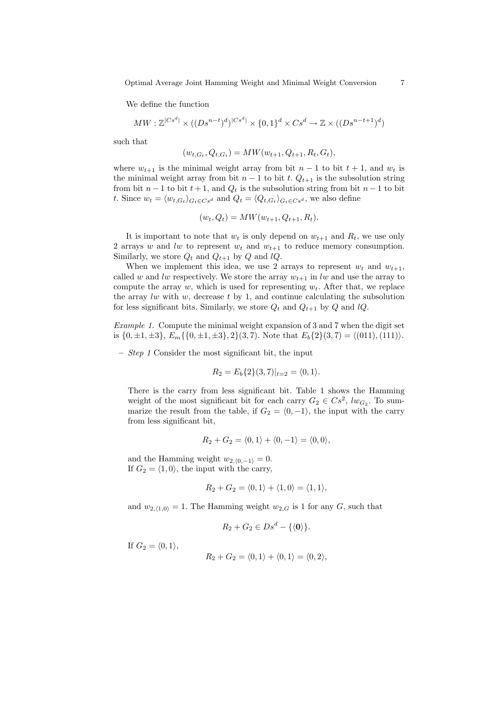Optimal Average Joint Hamming Weight and Minimal Weight Conversion 7

We define the function

$$
MW: \mathbb{Z}^{|Cs^d|} \times ((Ds^{n-t})^d)^{|Cs^d|} \times \{0,1\}^d \times Cs^d \rightarrow \mathbb{Z} \times ((Ds^{n-t+1})^d)
$$

such that

$$
(w_{t,G_t}, Q_{t,G_t}) = MW(w_{t+1}, Q_{t+1}, R_t, G_t),
$$

where  $w_{t+1}$  is the minimal weight array from bit  $n-1$  to bit  $t+1$ , and  $w_t$  is the minimal weight array from bit  $n-1$  to bit t.  $Q_{t+1}$  is the subsolution string from bit  $n-1$  to bit  $t+1$ , and  $Q_t$  is the subsolution string from bit  $n-1$  to bit t. Since  $w_t = \langle w_{t,G_t} \rangle_{G_t \in Cs^d}$  and  $Q_t = \langle Q_{t,G_t} \rangle_{G_t \in Cs^d}$ , we also define

$$
(w_t, Q_t) = MW(w_{t+1}, Q_{t+1}, R_t).
$$

It is important to note that  $w_t$  is only depend on  $w_{t+1}$  and  $R_t$ , we use only 2 arrays w and lw to represent  $w_t$  and  $w_{t+1}$  to reduce memory consumption. Similarly, we store  $Q_t$  and  $Q_{t+1}$  by  $Q$  and  $lQ$ .

When we implement this idea, we use 2 arrays to represent  $w_t$  and  $w_{t+1}$ , called w and lw respectively. We store the array  $w_{t+1}$  in lw and use the array to compute the array  $w$ , which is used for representing  $w_t$ . After that, we replace the array  $lw$  with  $w$ , decrease  $t$  by 1, and continue calculating the subsolution for less significant bits. Similarly, we store  $Q_t$  and  $Q_{t+1}$  by  $Q$  and  $lQ$ .

Example 1. Compute the minimal weight expansion of 3 and 7 when the digit set is  $\{0, \pm 1, \pm 3\}, E_m\{\{0, \pm 1, \pm 3\}, 2\}(3, 7)$ . Note that  $E_b\{2\}(3, 7) = \langle (011), (111) \rangle$ .

 $-$  *Step 1* Consider the most significant bit, the input

$$
R_2 = E_b\{2\}(3,7)|_{t=2} = \langle 0,1 \rangle.
$$

There is the carry from less significant bit. Table 1 shows the Hamming weight of the most significant bit for each carry  $G_2 \in Cs^2$ ,  $lw_{G_2}$ . To summarize the result from the table, if  $G_2 = \langle 0, -1 \rangle$ , the input with the carry from less significant bit,

$$
R_2 + G_2 = \langle 0, 1 \rangle + \langle 0, -1 \rangle = \langle 0, 0 \rangle,
$$

and the Hamming weight  $w_{2,(0,-1)} = 0$ . If  $G_2 = \langle 1, 0 \rangle$ , the input with the carry,

$$
R_2 + G_2 = \langle 0, 1 \rangle + \langle 1, 0 \rangle = \langle 1, 1 \rangle,
$$

and  $w_{2,(1,0)} = 1$ . The Hamming weight  $w_{2,G}$  is 1 for any G, such that

$$
R_2 + G_2 \in Ds^d - \{ \langle \mathbf{0} \rangle \}.
$$

If  $G_2 = \langle 0, 1 \rangle$ ,

$$
R_2 + G_2 = \langle 0, 1 \rangle + \langle 0, 1 \rangle = \langle 0, 2 \rangle,
$$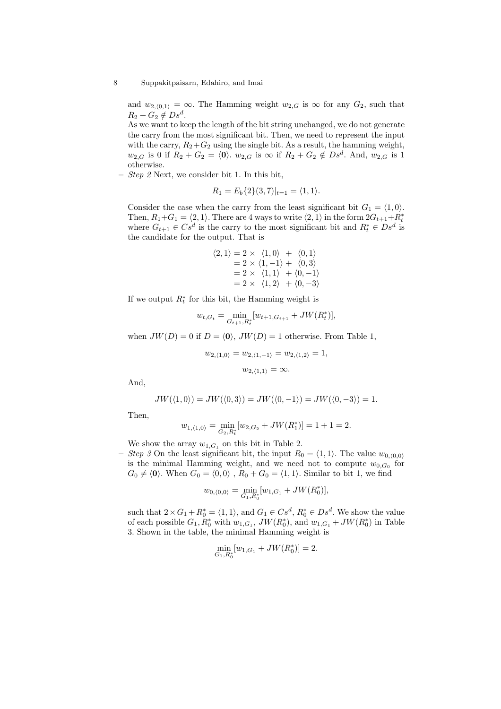and  $w_{2,(0,1)} = \infty$ . The Hamming weight  $w_{2,G}$  is  $\infty$  for any  $G_2$ , such that  $R_2 + G_2 \notin Ds^d$ .

As we want to keep the length of the bit string unchanged, we do not generate the carry from the most significant bit. Then, we need to represent the input with the carry,  $R_2 + G_2$  using the single bit. As a result, the hamming weight,  $w_{2,G}$  is 0 if  $R_2 + G_2 = \langle 0 \rangle$ .  $w_{2,G}$  is  $\infty$  if  $R_2 + G_2 \notin Ds^d$ . And,  $w_{2,G}$  is 1 otherwise.

 $-$  *Step 2* Next, we consider bit 1. In this bit,

$$
R_1 = E_b\{2\}(3,7)|_{t=1} = \langle 1,1 \rangle.
$$

Consider the case when the carry from the least significant bit  $G_1 = \langle 1, 0 \rangle$ . Then,  $R_1 + G_1 = \langle 2, 1 \rangle$ . There are 4 ways to write  $\langle 2, 1 \rangle$  in the form  $2G_{t+1} + R_t^*$ where  $G_{t+1} \in Cs^d$  is the carry to the most significant bit and  $R_t^* \in Ds^d$  is the candidate for the output. That is

$$
\langle 2, 1 \rangle = 2 \times \langle 1, 0 \rangle + \langle 0, 1 \rangle
$$
  
= 2 \times \langle 1, -1 \rangle + \langle 0, 3 \rangle  
= 2 \times \langle 1, 1 \rangle + \langle 0, -1 \rangle  
= 2 \times \langle 1, 2 \rangle + \langle 0, -3 \rangle

If we output  $R_t^*$  for this bit, the Hamming weight is

$$
w_{t,G_t} = \min_{G_{t+1}, R_t^*} [w_{t+1,G_{t+1}} + JW(R_t^*)],
$$

when  $JW(D) = 0$  if  $D = \langle 0 \rangle$ ,  $JW(D) = 1$  otherwise. From Table 1,

$$
w_{2,\langle 1,0\rangle} = w_{2,\langle 1,-1\rangle} = w_{2,\langle 1,2\rangle} = 1,
$$
  

$$
w_{2,\langle 1,1\rangle} = \infty.
$$

And,

$$
JW(\langle 1,0\rangle) = JW(\langle 0,3\rangle) = JW(\langle 0,-1\rangle) = JW(\langle 0,-3\rangle) = 1.
$$

Then,

$$
w_{1,\langle 1,0\rangle} = \min_{G_2,R_t^*} [w_{2,G_2} + JW(R_1^*)] = 1 + 1 = 2.
$$

We show the array  $w_{1,G_1}$  on this bit in Table 2.

– Step 3 On the least significant bit, the input  $R_0 = \langle 1, 1 \rangle$ . The value  $w_{0, (0,0)}$ is the minimal Hamming weight, and we need not to compute  $w_{0,G_0}$  for  $G_0 \neq \langle 0 \rangle$ . When  $G_0 = \langle 0, 0 \rangle$ ,  $R_0 + G_0 = \langle 1, 1 \rangle$ . Similar to bit 1, we find

$$
w_{0,\langle 0,0\rangle} = \min_{G_1,R_0^*}[w_{1,G_1} + JW(R_0^*)],
$$

such that  $2 \times G_1 + R_0^* = \langle 1, 1 \rangle$ , and  $G_1 \in Cs^d$ ,  $R_0^* \in Ds^d$ . We show the value of each possible  $G_1, R_0^*$  with  $w_{1,G_1}$ ,  $JW(R_0^*)$ , and  $w_{1,G_1} + JW(R_0^*)$  in Table 3. Shown in the table, the minimal Hamming weight is

$$
\min_{G_1, R_0^*} [w_{1, G_1} + JW(R_0^*)] = 2.
$$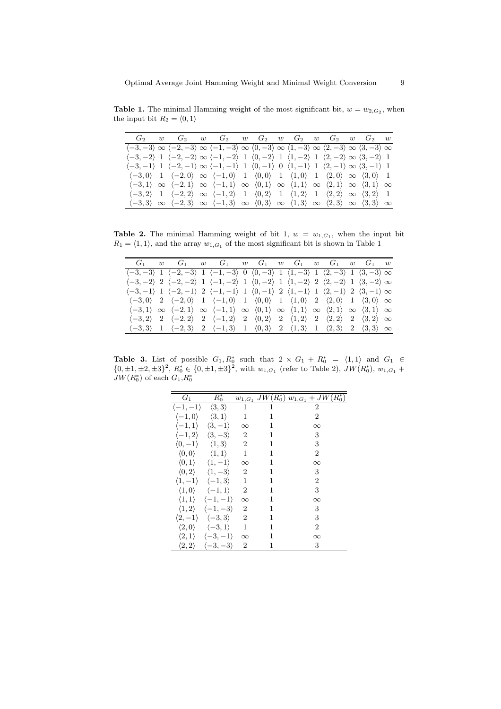**Table 1.** The minimal Hamming weight of the most significant bit,  $w = w_{2,G_2}$ , when the input bit  $R_2 = \langle 0, 1 \rangle$ 

|  | $G_2$ w $G_2$ w $G_2$ w $G_2$ w $G_2$ w $G_2$ w $G_2$ w $G_2$ w                                                                                                                                                                                 |  |  |  |  |  |  |
|--|-------------------------------------------------------------------------------------------------------------------------------------------------------------------------------------------------------------------------------------------------|--|--|--|--|--|--|
|  | $\langle -3,-3 \rangle \propto \langle -2,-3 \rangle \propto \langle -1,-3 \rangle \propto \langle 0,-3 \rangle \propto \langle 1,-3 \rangle \propto \langle 2,-3 \rangle \propto \langle 3,-3 \rangle \propto$                                 |  |  |  |  |  |  |
|  | $\langle -3, -2 \rangle$ 1 $\langle -2, -2 \rangle \infty \langle -1, -2 \rangle$ 1 $\langle 0, -2 \rangle$ 1 $\langle 1, -2 \rangle$ 1 $\langle 2, -2 \rangle \infty \langle 3, -2 \rangle$ 1                                                  |  |  |  |  |  |  |
|  | $\langle -3,-1 \rangle$ 1 $\langle -2,-1 \rangle \infty \langle -1,-1 \rangle$ 1 $\langle 0,-1 \rangle$ 0 $\langle 1,-1 \rangle$ 1 $\langle 2,-1 \rangle \infty \langle 3,-1 \rangle$ 1                                                         |  |  |  |  |  |  |
|  | $\langle -3,0 \rangle$ 1 $\langle -2,0 \rangle \infty \langle -1,0 \rangle$ 1 $\langle 0,0 \rangle$ 1 $\langle 1,0 \rangle$ 1 $\langle 2,0 \rangle \infty \langle 3,0 \rangle$ 1                                                                |  |  |  |  |  |  |
|  | $\langle -3,1 \rangle \infty \langle -2,1 \rangle \infty \langle -1,1 \rangle \infty \langle 0,1 \rangle \infty \langle 1,1 \rangle \infty \langle 2,1 \rangle \infty \langle 3,1 \rangle \infty$                                               |  |  |  |  |  |  |
|  | $\langle -3,2 \rangle$ 1 $\langle -2,2 \rangle \infty \langle -1,2 \rangle$ 1 $\langle 0,2 \rangle$ 1 $\langle 1,2 \rangle$ 1 $\langle 2,2 \rangle \infty \langle 3,2 \rangle$ 1                                                                |  |  |  |  |  |  |
|  | $\langle -3,3 \rangle \; \propto \; \langle -2,3 \rangle \; \propto \; \langle -1,3 \rangle \; \propto \; \langle 0,3 \rangle \; \propto \; \langle 1,3 \rangle \; \propto \; \langle 2,3 \rangle \; \propto \; \langle 3,3 \rangle \; \propto$ |  |  |  |  |  |  |

**Table 2.** The minimal Hamming weight of bit 1,  $w = w_{1,G_1}$ , when the input bit  $R_1 = \langle 1, 1\rangle,$  and the array  $w_{1,G_1}$  of the most significant bit is shown in Table 1

|  |  | $G_1$ w $G_1$ w $G_1$ w $G_1$ w $G_1$ w $G_1$ w $G_1$ w $G_1$ w                                                                                                                                   |  |  |  |  |  |
|--|--|---------------------------------------------------------------------------------------------------------------------------------------------------------------------------------------------------|--|--|--|--|--|
|  |  | $\langle -3, -3 \rangle$ 1 $\langle -2, -3 \rangle$ 1 $\langle -1, -3 \rangle$ 0 $\langle 0, -3 \rangle$ 1 $\langle 1, -3 \rangle$ 1 $\langle 2, -3 \rangle$ 1 $\langle 3, -3 \rangle \infty$     |  |  |  |  |  |
|  |  | $\langle -3, -2 \rangle$ 2 $\langle -2, -2 \rangle$ 1 $\langle -1, -2 \rangle$ 1 $\langle 0, -2 \rangle$ 1 $\langle 1, -2 \rangle$ 2 $\langle 2, -2 \rangle$ 1 $\langle 3, -2 \rangle \infty$     |  |  |  |  |  |
|  |  | $\langle -3,-1 \rangle$ 1 $\langle -2,-1 \rangle$ 2 $\langle -1,-1 \rangle$ 1 $\langle 0,-1 \rangle$ 2 $\langle 1,-1 \rangle$ 1 $\langle 2,-1 \rangle$ 2 $\langle 3,-1 \rangle \infty$            |  |  |  |  |  |
|  |  | $\langle -3,0 \rangle$ 2 $\langle -2,0 \rangle$ 1 $\langle -1,0 \rangle$ 1 $\langle 0,0 \rangle$ 1 $\langle 1,0 \rangle$ 2 $\langle 2,0 \rangle$ 1 $\langle 3,0 \rangle \infty$                   |  |  |  |  |  |
|  |  | $\langle -3,1 \rangle \infty \langle -2,1 \rangle \infty \langle -1,1 \rangle \infty \langle 0,1 \rangle \infty \langle 1,1 \rangle \infty \langle 2,1 \rangle \infty \langle 3,1 \rangle \infty$ |  |  |  |  |  |
|  |  | $\langle -3,2 \rangle$ 2 $\langle -2,2 \rangle$ 2 $\langle -1,2 \rangle$ 2 $\langle 0,2 \rangle$ 2 $\langle 1,2 \rangle$ 2 $\langle 2,2 \rangle$ 2 $\langle 3,2 \rangle \infty$                   |  |  |  |  |  |
|  |  | $\langle -3,3 \rangle$ 1 $\langle -2,3 \rangle$ 2 $\langle -1,3 \rangle$ 1 $\langle 0,3 \rangle$ 2 $\langle 1,3 \rangle$ 1 $\langle 2,3 \rangle$ 2 $\langle 3,3 \rangle$ $\infty$                 |  |  |  |  |  |

Table 3. List of possible  $G_1, R_0^*$  such that  $2 \times G_1 + R_0^* = \langle 1, 1 \rangle$  and  $G_1 \in$  $\{0, \pm 1, \pm 2, \pm 3\}^2$ ,  $R_0^* \in \{0, \pm 1, \pm 3\}^2$ , with  $w_{1,G_1}$  (refer to Table 2),  $JW(R_0^*)$ ,  $w_{1,G_1}$  +  $JW(R_0^*)$  of each  $G_1, R_0^*$ 

| $G_1$                   | $R_0^*$                                           |                |   | $w_{1,G_1}$ JW $(R_0^*)$ $w_{1,G_1}$ + JW $(R_0^*)$ |
|-------------------------|---------------------------------------------------|----------------|---|-----------------------------------------------------|
| $\langle -1,-1\rangle$  | $\langle 3,3\rangle$                              | 1              | 1 | 2                                                   |
| $\langle -1,0\rangle$   | $\langle 3,1\rangle$                              | 1              | 1 | $\overline{2}$                                      |
| $\langle -1, 1 \rangle$ | $\langle 3,-1\rangle$                             | $\infty$       | 1 | $\infty$                                            |
| $\langle -1, 2 \rangle$ | $\langle 3,-3 \rangle$                            | 2              | 1 | 3                                                   |
|                         | $\langle 0,-1\rangle \quad \langle 1,3\rangle$    | $\overline{2}$ | 1 | 3                                                   |
| $\langle 0,0\rangle$    | $\langle 1,1 \rangle$                             | 1              | 1 | $\overline{2}$                                      |
| $\langle 0,1\rangle$    | $\langle 1, -1 \rangle$                           | $\infty$       | 1 | $\infty$                                            |
| $\langle 0,2\rangle$    | $\langle 1, -3 \rangle$                           | 2              | 1 | 3                                                   |
|                         | $\langle 1,-1 \rangle \quad \langle -1,3 \rangle$ | 1              | 1 | $\overline{2}$                                      |
| $\langle 1,0 \rangle$   | $\langle -1, 1 \rangle$                           | 2              | 1 | 3                                                   |
| $\langle 1,1\rangle$    | $\langle -1,-1\rangle$                            | $\infty$       | 1 | $\infty$                                            |
| $\langle 1,2\rangle$    | $\langle -1, -3 \rangle$                          | $\overline{2}$ | 1 | 3                                                   |
|                         | $\langle 2,-1\rangle \quad \langle -3,3\rangle$   | 2              | 1 | 3                                                   |
|                         | $\langle 2,0 \rangle \quad \langle -3,1 \rangle$  | 1              | 1 | $\overline{2}$                                      |
| $\langle 2,1\rangle$    | $\langle -3,-1\rangle$                            | $\infty$       | 1 | $\infty$                                            |
|                         | $\langle 2,2 \rangle \quad \langle -3,-3 \rangle$ | 2              | 1 | 3                                                   |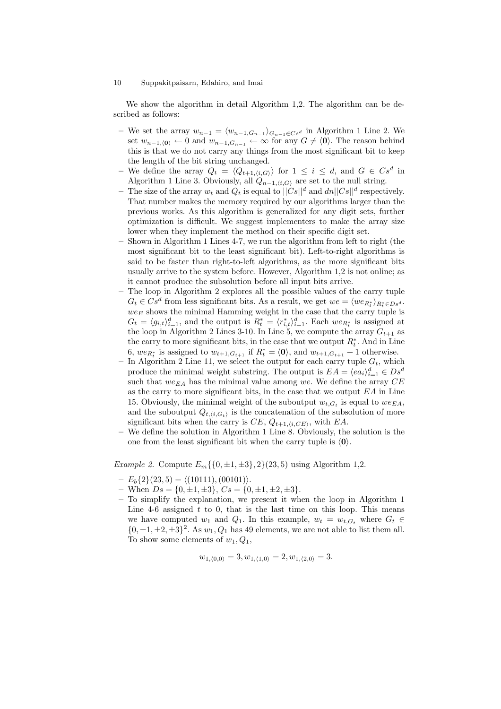We show the algorithm in detail Algorithm 1,2. The algorithm can be described as follows:

- We set the array  $w_{n-1} = \langle w_{n-1,G_{n-1}} \rangle_{G_{n-1} \in Cs^d}$  in Algorithm 1 Line 2. We set  $w_{n-1,(0)} \leftarrow 0$  and  $w_{n-1},G_{n-1} \leftarrow \infty$  for any  $G \neq \langle 0 \rangle$ . The reason behind this is that we do not carry any things from the most significant bit to keep the length of the bit string unchanged.
- We define the array  $Q_t = \langle Q_{t+1,i,G} \rangle$  for  $1 \leq i \leq d$ , and  $G \in Cs^d$  in Algorithm 1 Line 3. Obviously, all  $Q_{n-1,(i,G)}$  are set to the null string.
- The size of the array  $w_t$  and  $Q_t$  is equal to  $||Cs||^d$  and  $dn||Cs||^d$  respectively. That number makes the memory required by our algorithms larger than the previous works. As this algorithm is generalized for any digit sets, further optimization is difficult. We suggest implementers to make the array size lower when they implement the method on their specific digit set.
- Shown in Algorithm 1 Lines 4-7, we run the algorithm from left to right (the most significant bit to the least significant bit). Left-to-right algorithms is said to be faster than right-to-left algorithms, as the more significant bits usually arrive to the system before. However, Algorithm 1,2 is not online; as it cannot produce the subsolution before all input bits arrive.
- The loop in Algorithm 2 explores all the possible values of the carry tuple  $G_t \in Cs^d$  from less significant bits. As a result, we get  $we = \langle we_{R_t^*} \rangle_{R_t^* \in Ds^d}$ .  $we_E$  shows the minimal Hamming weight in the case that the carry tuple is  $G_t = \langle g_{i,t} \rangle_{i=1}^d$ , and the output is  $R_t^* = \langle r_{i,t}^* \rangle_{i=1}^d$ . Each  $we_{R_t^*}$  is assigned at the loop in Algorithm 2 Lines 3-10. In Line 5, we compute the array  $G_{t+1}$  as the carry to more significant bits, in the case that we output  $R_t^*$ . And in Line 6,  $we_{R_t^*}$  is assigned to  $w_{t+1,G_{t+1}}$  if  $R_t^* = \langle 0 \rangle$ , and  $w_{t+1,G_{t+1}} + 1$  otherwise.
- In Algorithm 2 Line 11, we select the output for each carry tuple  $G_t$ , which produce the minimal weight substring. The output is  $EA = \langle ea_i \rangle_{i=1}^d \in Ds^d$ such that  $we_{EA}$  has the minimal value among we. We define the array  $CE$ as the carry to more significant bits, in the case that we output  $EA$  in Line 15. Obviously, the minimal weight of the suboutput  $w_{t,G_t}$  is equal to  $we_{EA}$ , and the suboutput  $Q_{t,\langle i,G_t \rangle}$  is the concatenation of the subsolution of more significant bits when the carry is  $CE$ ,  $Q_{t+1,(i,CE)}$ , with  $EA$ .
- We define the solution in Algorithm 1 Line 8. Obviously, the solution is the one from the least significant bit when the carry tuple is  $\langle 0 \rangle$ .

*Example 2.* Compute  $E_m\{\{0,\pm 1,\pm 3\},2\}(23,5)$  using Algorithm 1,2.

- $-E<sub>b</sub>{2}(23, 5) = \langle (10111), (00101) \rangle.$
- When  $Ds = \{0, \pm 1, \pm 3\}, Cs = \{0, \pm 1, \pm 2, \pm 3\}.$
- To simplify the explanation, we present it when the loop in Algorithm 1 Line 4-6 assigned  $t$  to 0, that is the last time on this loop. This means we have computed  $w_1$  and  $Q_1$ . In this example,  $w_t = w_{t,G_t}$  where  $G_t \in$  $\{0, \pm 1, \pm 2, \pm 3\}^2$ . As  $w_1, Q_1$  has 49 elements, we are not able to list them all. To show some elements of  $w_1, Q_1$ ,

$$
w_{1,\langle 0,0\rangle} = 3, w_{1,\langle 1,0\rangle} = 2, w_{1,\langle 2,0\rangle} = 3.
$$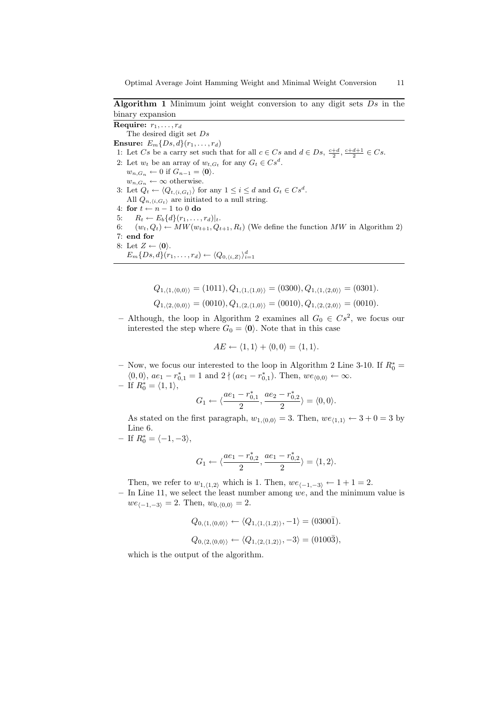Algorithm 1 Minimum joint weight conversion to any digit sets  $Ds$  in the binary expansion

The desired digit set Ds Ensure:  $E_m\{Ds, d\}(r_1, \ldots, r_d)$ 1: Let Cs be a carry set such that for all  $c \in Cs$  and  $d \in Ds$ ,  $\frac{c+d}{2}$ ,  $\frac{c+d+1}{2} \in Cs$ . 2: Let  $w_t$  be an array of  $w_{t,G_t}$  for any  $G_t \in Cs^d$ .  $w_{n,G_n} \leftarrow 0$  if  $G_{n-1} = \langle 0 \rangle$ .  $w_{n,G_n} \leftarrow \infty$  otherwise. 3: Let  $Q_t \leftarrow \langle Q_{t,\langle i,G_t \rangle} \rangle$  for any  $1 \leq i \leq d$  and  $G_t \in Cs^d$ . All  $Q_{n,(i,G_t)}$  are initiated to a null string. 4: for  $t \leftarrow n - 1$  to 0 do 5:  $R_t \leftarrow E_b\{d\}(r_1,\ldots,r_d)|_t.$ 6:  $(w_t, Q_t) \leftarrow MW(w_{t+1}, Q_{t+1}, R_t)$  (We define the function MW in Algorithm 2) 7: end for 8: Let  $Z \leftarrow \langle 0 \rangle$ .  $E_m\{Ds,d\}(r_1,\ldots,r_d) \leftarrow \langle Q_{0,\langle i,Z \rangle} \rangle_{i=1}^d$ 

$$
Q_{1,\langle 1,\langle 0,0\rangle\rangle} = (1011), Q_{1,\langle 1,\langle 1,0\rangle\rangle} = (0300), Q_{1,\langle 1,\langle 2,0\rangle\rangle} = (0301).
$$
  

$$
Q_{1,\langle 2,\langle 0,0\rangle\rangle} = (0010), Q_{1,\langle 2,\langle 1,0\rangle\rangle} = (0010), Q_{1,\langle 2,\langle 2,0\rangle\rangle} = (0010).
$$

- Although, the loop in Algorithm 2 examines all  $G_0 \in Cs^2$ , we focus our interested the step where  $G_0 = \langle 0 \rangle$ . Note that in this case

$$
AE \leftarrow \langle 1, 1 \rangle + \langle 0, 0 \rangle = \langle 1, 1 \rangle.
$$

– Now, we focus our interested to the loop in Algorithm 2 Line 3-10. If  $R_0^*$  =  $\langle 0,0 \rangle$ ,  $ae_1 - r_{0,1}^* = 1$  and  $2 \nmid (ae_1 - r_{0,1}^*)$ . Then,  $we_{\langle 0,0 \rangle} \leftarrow \infty$ .

$$
- \text{ If } R_0^* = \langle 1, 1 \rangle,
$$

Require:  $r_1, \ldots, r_d$ 

$$
G_1 \leftarrow \langle \frac{ae_1 - r_{0,1}^*}{2}, \frac{ae_2 - r_{0,2}^*}{2} \rangle = \langle 0, 0 \rangle.
$$

As stated on the first paragraph,  $w_{1,(0,0)} = 3$ . Then,  $we_{\langle 1,1\rangle} \leftarrow 3 + 0 = 3$  by Line 6.

 $-$  If  $R_0^* = \langle -1, -3 \rangle$ ,

$$
G_1 \leftarrow \langle \frac{ae_1 - r_{0,2}^*}{2}, \frac{ae_1 - r_{0,2}^*}{2} \rangle = \langle 1, 2 \rangle.
$$

Then, we refer to  $w_{1,(1,2)}$  which is 1. Then,  $we_{(-1,-3)} \leftarrow 1 + 1 = 2$ .

 $-$  In Line 11, we select the least number among we, and the minimum value is  $we_{\langle -1,-3\rangle} = 2.$  Then,  $w_{0,\langle 0,0\rangle} = 2.$ 

$$
Q_{0,\langle 1,\langle 0,0\rangle\rangle} \leftarrow \langle Q_{1,\langle 1,\langle 1,2\rangle\rangle}, -1 \rangle = (0300\overline{1}).
$$

$$
Q_{0,\langle 2,\langle 0,0\rangle\rangle} \leftarrow \langle Q_{1,\langle 2,\langle 1,2\rangle\rangle}, -3 \rangle = (0100\overline{3}),
$$

which is the output of the algorithm.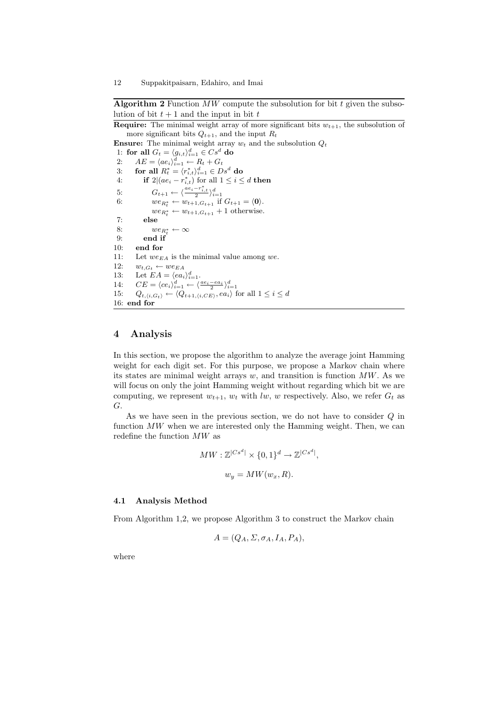### Algorithm 2 Function  $MW$  compute the subsolution for bit  $t$  given the subsolution of bit  $t + 1$  and the input in bit  $t$

**Require:** The minimal weight array of more significant bits  $w_{t+1}$ , the subsolution of more significant bits  $Q_{t+1}$ , and the input  $R_t$ 

**Ensure:** The minimal weight array  $w_t$  and the subsolution  $Q_t$ 

1: for all  $G_t = \langle g_{i,t} \rangle_{i=1}^d \in Cs^d$  do 2:  $AE = \langle ae_i \rangle_{i=1}^d \leftarrow R_t + G_t$ 3: for all  $R_t^* = \langle r_{i,t}^* \rangle_{i=1}^d \in Ds^d$  do 4: if  $2|(ae_i - r_{i,t}^*)$  for all  $1 \leq i \leq d$  then 5:  $G_{t+1} \leftarrow \langle \frac{ae_i - r_{i,t}^*}{2} \rangle_{i=1}^d$ <br>6:  $we_{R_t^*} \leftarrow w_{t+1, G_{t+1}}$  if  $G_{t+1} = \langle 0 \rangle$ .  $we_{R_t^*} \leftarrow w_{t+1,G_{t+1}} + 1$  otherwise. 7: else 8:  $we_{R_t^*} \leftarrow \infty$ 9: end if 10: end for 11: Let  $we_{EA}$  is the minimal value among we. 12:  $w_{t,G_t} \leftarrow we_{EA}$ 13: Let  $EA = \langle ea_i \rangle_{i=1}^d$ . 14:  $CE = \langle ce_i \rangle_{i=1}^d \leftarrow \langle \frac{ae_i - ea_i}{2} \rangle_{i=1}^d$ 15:  $Q_{t,i,G_t} \leftarrow \langle Q_{t+1,i,C} \rangle, ea_i \rangle$  for all  $1 \leq i \leq d$ 16: end for

## 4 Analysis

In this section, we propose the algorithm to analyze the average joint Hamming weight for each digit set. For this purpose, we propose a Markov chain where its states are minimal weight arrays w, and transition is function  $MW$ . As we will focus on only the joint Hamming weight without regarding which bit we are computing, we represent  $w_{t+1}$ ,  $w_t$  with lw, w respectively. Also, we refer  $G_t$  as G.

As we have seen in the previous section, we do not have to consider Q in function  $MW$  when we are interested only the Hamming weight. Then, we can redefine the function  $MW$  as

$$
MW: \mathbb{Z}^{|Cs^d|} \times \{0, 1\}^d \to \mathbb{Z}^{|Cs^d|},
$$
  

$$
w_y = MW(w_x, R).
$$

### 4.1 Analysis Method

From Algorithm 1,2, we propose Algorithm 3 to construct the Markov chain

$$
A = (Q_A, \Sigma, \sigma_A, I_A, P_A),
$$

where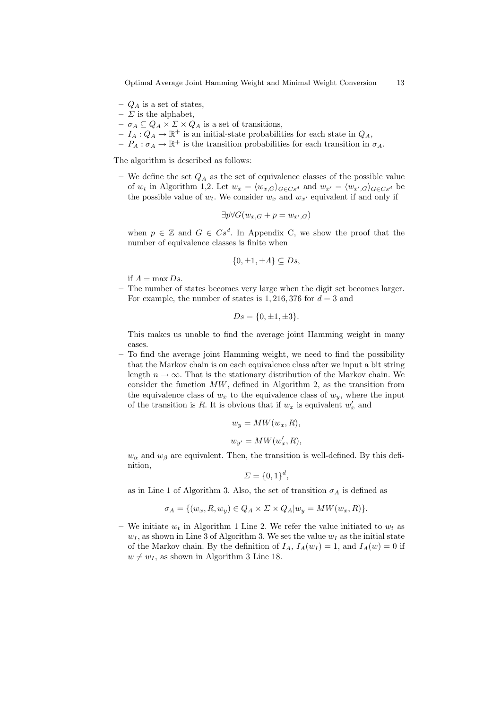Optimal Average Joint Hamming Weight and Minimal Weight Conversion 13

- $Q_A$  is a set of states,
- $\Sigma$  is the alphabet,
- $\sigma_A \subseteq Q_A \times \Sigma \times Q_A$  is a set of transitions,
- $-I_A: Q_A \to \mathbb{R}^+$  is an initial-state probabilities for each state in  $Q_A$ ,
- $-P_A: \sigma_A \to \mathbb{R}^+$  is the transition probabilities for each transition in  $\sigma_A$ .

The algorithm is described as follows:

– We define the set  $Q_A$  as the set of equivalence classes of the possible value of  $w_t$  in Algorithm 1,2. Let  $w_x = \langle w_{x,G} \rangle_{G \in Cs^d}$  and  $w_{x'} = \langle w_{x',G} \rangle_{G \in Cs^d}$  be the possible value of  $w_t$ . We consider  $w_x$  and  $w_{x'}$  equivalent if and only if

$$
\exists p \forall G(w_{x,G} + p = w_{x',G})
$$

when  $p \in \mathbb{Z}$  and  $G \in Cs^d$ . In Appendix C, we show the proof that the number of equivalence classes is finite when

$$
\{0, \pm 1, \pm A\} \subseteq Ds,
$$

if  $\Lambda = \max Ds$ .

– The number of states becomes very large when the digit set becomes larger. For example, the number of states is 1, 216, 376 for  $d = 3$  and

$$
Ds = \{0, \pm 1, \pm 3\}.
$$

This makes us unable to find the average joint Hamming weight in many cases.

– To find the average joint Hamming weight, we need to find the possibility that the Markov chain is on each equivalence class after we input a bit string length  $n \to \infty$ . That is the stationary distribution of the Markov chain. We consider the function  $MW$ , defined in Algorithm 2, as the transition from the equivalence class of  $w_x$  to the equivalence class of  $w_y$ , where the input of the transition is R. It is obvious that if  $w_x$  is equivalent  $w'_x$  and

$$
w_y = MW(w_x, R),
$$
  

$$
w_{y'} = MW(w'_x, R),
$$

 $w_{\alpha}$  and  $w_{\beta}$  are equivalent. Then, the transition is well-defined. By this definition,

$$
\Sigma = \{0, 1\}^d
$$

as in Line 1 of Algorithm 3. Also, the set of transition  $\sigma_A$  is defined as

$$
\sigma_A = \{ (w_x, R, w_y) \in Q_A \times \Sigma \times Q_A | w_y = MW(w_x, R) \}.
$$

– We initiate  $w_t$  in Algorithm 1 Line 2. We refer the value initiated to  $w_t$  as  $w_I$ , as shown in Line 3 of Algorithm 3. We set the value  $w_I$  as the initial state of the Markov chain. By the definition of  $I_A$ ,  $I_A(w_I) = 1$ , and  $I_A(w) = 0$  if  $w \neq w_I$ , as shown in Algorithm 3 Line 18.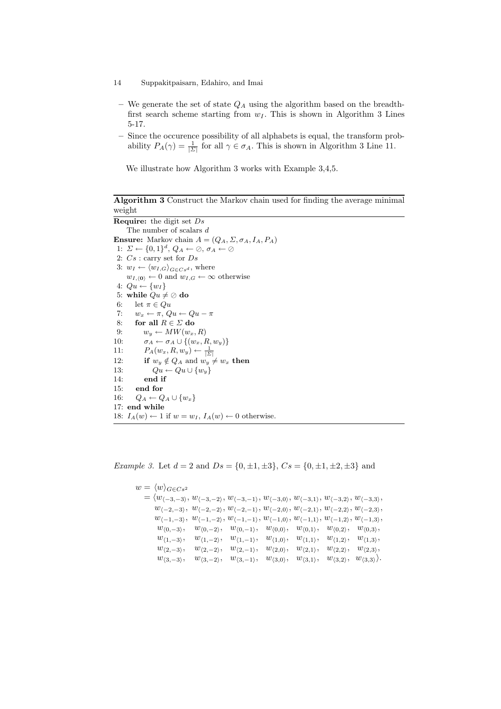- We generate the set of state  $Q_A$  using the algorithm based on the breadthfirst search scheme starting from  $w_I$ . This is shown in Algorithm 3 Lines 5-17.
- Since the occurence possibility of all alphabets is equal, the transform probability  $P_A(\gamma) = \frac{1}{|\Sigma|}$  for all  $\gamma \in \sigma_A$ . This is shown in Algorithm 3 Line 11.

We illustrate how Algorithm 3 works with Example 3,4,5.

Algorithm 3 Construct the Markov chain used for finding the average minimal weight

```
Require: the digit set DsThe number of scalars dEnsure: Markov chain A = (Q_A, \Sigma, \sigma_A, I_A, P_A)1: \Sigma \leftarrow \{0,1\}^d, Q_A \leftarrow \emptyset, \sigma_A \leftarrow \emptyset2: Cs : carry set for Ds3: w_I \leftarrow \langle w_{I,G} \rangle_{G \in C_s^d}, where
     w_{I,\langle 0 \rangle} \leftarrow 0 and w_{I,G} \leftarrow \infty otherwise
 4: Qu \leftarrow \{w_I\}5: while Qu \neq \emptyset do
 6: let \pi \in Qu7: w_x \leftarrow \pi, Qu \leftarrow Qu - \pi8: for all R \in \Sigma do
 9: w_y \leftarrow MW(w_x, R)10: \sigma_A \leftarrow \sigma_A \cup \{(w_x, R, w_y)\}11: P_A(w_x, R, w_y) \leftarrow \frac{1}{|\Sigma|}12: if w_y \notin Q_A and w_y \neq w_x then
13: Qu \leftarrow Qu \cup \{w_y\}14: end if
15: end for
16: Q_A \leftarrow Q_A \cup \{w_x\}17: end while
18: I_A(w) \leftarrow 1 if w = w_I, I_A(w) \leftarrow 0 otherwise.
```
*Example 3.* Let  $d = 2$  and  $Ds = \{0, \pm 1, \pm 3\}$ ,  $Cs = \{0, \pm 1, \pm 2, \pm 3\}$  and

```
w = \langle w \rangle_{G \in Cs^2}=\langle w_{\langle -3,-3\rangle}, w_{\langle -3,-2\rangle}, w_{\langle -3,-1\rangle}, w_{\langle -3,0\rangle}, w_{\langle -3,1\rangle}, w_{\langle -3,2\rangle}, w_{\langle -3,3\rangle},w_{\langle -2,-3 \rangle}, w_{\langle -2,-2 \rangle}, w_{\langle -2,-1 \rangle}, w_{\langle -2,0 \rangle}, w_{\langle -2,1 \rangle}, w_{\langle -2,2 \rangle}, w_{\langle -2,3 \rangle},w_{\langle -1,-3 \rangle}, w_{\langle -1,-2 \rangle}, w_{\langle -1,-1 \rangle}, w_{\langle -1,0 \rangle}, w_{\langle -1,1 \rangle}, w_{\langle -1,2 \rangle}, w_{\langle -1,3 \rangle},w_{(0,-3)}, \quad w_{(0,-2)}, \quad w_{(0,-1)}, \quad w_{(0,0)}, \quad w_{(0,1)}, \quad w_{(0,2)}, \quad w_{(0,3)},w_{\langle 1,-3\rangle}, w_{\langle 1,-2\rangle}, w_{\langle 1,-1\rangle}, w_{\langle 1,0\rangle}, w_{\langle 1,1\rangle}, w_{\langle 1,2\rangle}, w_{\langle 1,3\rangle},w_{\langle 2,-3 \rangle}, \quad w_{\langle 2,-2 \rangle}, \quad w_{\langle 2,-1 \rangle}, \quad w_{\langle 2,0 \rangle}, \quad w_{\langle 2,1 \rangle}, \quad w_{\langle 2,2 \rangle}, \quad w_{\langle 2,3 \rangle},w_{\langle 3,-3 \rangle}, \quad w_{\langle 3,-2 \rangle}, \quad w_{\langle 3,-1 \rangle}, \quad w_{\langle 3,0 \rangle}, \quad w_{\langle 3,1 \rangle}, \quad w_{\langle 3,2 \rangle}, \quad w_{\langle 3,3 \rangle}.
```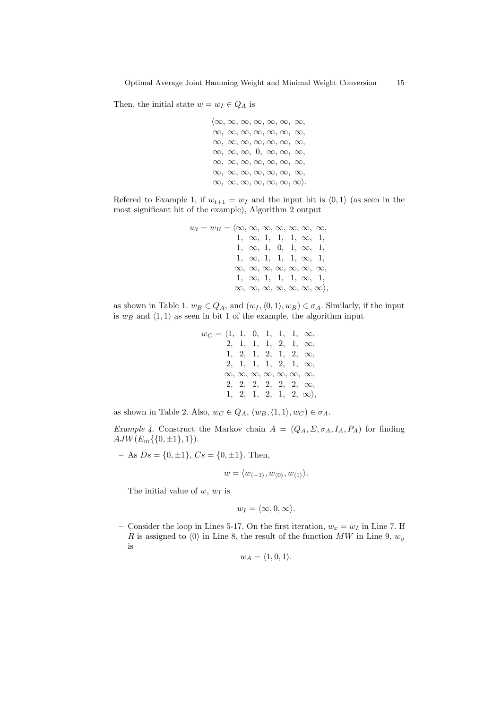Then, the initial state  $w = w_I \in Q_A$  is

 $\langle \infty, \infty, \infty, \infty, \infty, \infty, \infty$  $\infty, \infty, \infty, \infty, \infty, \infty, \infty,$  $\infty, \infty, \infty, \infty, \infty, \infty, \infty,$  $\infty, \infty, \infty, 0, \infty, \infty, \infty$  $\infty, \infty, \infty, \infty, \infty, \infty, \infty,$  $\infty, \infty, \infty, \infty, \infty, \infty, \infty, \infty$  $\infty, \infty, \infty, \infty, \infty, \infty, \infty)$ .

Refered to Example 1, if  $w_{t+1} = w_I$  and the input bit is  $\langle 0, 1 \rangle$  (as seen in the most significant bit of the example), Algorithm 2 output

w<sup>t</sup> = w<sup>B</sup> = h∞, ∞, ∞, ∞, ∞, ∞, ∞, 1, ∞, 1, 1, 1, ∞, 1, 1, ∞, 1, 0, 1, ∞, 1, 1, ∞, 1, 1, 1, ∞, 1, ∞, ∞, ∞, ∞, ∞, ∞, ∞, 1, ∞, 1, 1, 1, ∞, 1, ∞, ∞, ∞, ∞, ∞, ∞, ∞i,

as shown in Table 1.  $w_B \in Q_A$ , and  $(w_I, \langle 0, 1 \rangle, w_B) \in \sigma_A$ . Similarly, if the input is  $w_B$  and  $\langle 1, 1 \rangle$  as seen in bit 1 of the example, the algorithm input

$$
w_C = \langle 1, 1, 0, 1, 1, 1, \infty, \n2, 1, 1, 1, 2, 1, \infty, \n1, 2, 1, 2, 1, 2, \infty, \n2, 1, 1, 1, 2, 1, \infty, \n\infty, \infty, \infty, \infty, \infty, \infty, \infty, \infty, \n2, 2, 2, 2, 2, 2, \infty, \n1, 2, 1, 2, 1, 2, \infty \rangle,
$$

as shown in Table 2. Also,  $w_C \in Q_A$ ,  $(w_B, \langle 1, 1 \rangle, w_C) \in \sigma_A$ .

Example 4. Construct the Markov chain  $A = (Q_A, \Sigma, \sigma_A, I_A, P_A)$  for finding  $AJW(E_m\{\{0,\pm 1\},1\}).$ 

– As  $Ds = \{0, \pm 1\}$ ,  $Cs = \{0, \pm 1\}$ . Then,

$$
w = \langle w_{\langle -1 \rangle}, w_{\langle 0 \rangle}, w_{\langle 1 \rangle} \rangle.
$$

The initial value of  $w, w_I$  is

$$
w_I = \langle \infty, 0, \infty \rangle.
$$

– Consider the loop in Lines 5-17. On the first iteration,  $w_x = w_I$  in Line 7. If R is assigned to  $\langle 0 \rangle$  in Line 8, the result of the function MW in Line 9,  $w_y$ is

$$
w_A = \langle 1, 0, 1 \rangle.
$$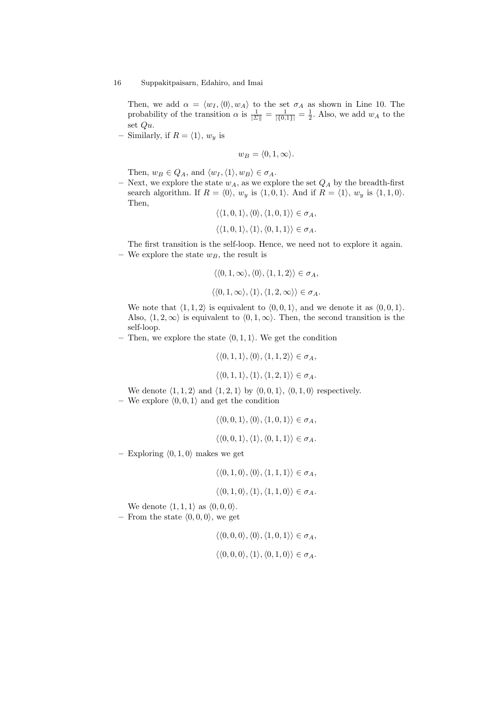Then, we add  $\alpha = \langle w_I, \langle 0 \rangle, w_A \rangle$  to the set  $\sigma_A$  as shown in Line 10. The probability of the transition  $\alpha$  is  $\frac{1}{|\Sigma|} = \frac{1}{|\{0,1\}|} = \frac{1}{2}$ . Also, we add  $w_A$  to the set Qu.

– Similarly, if  $R = \langle 1 \rangle$ ,  $w_y$  is

$$
w_B = \langle 0, 1, \infty \rangle.
$$

Then,  $w_B \in Q_A$ , and  $\langle w_I, \langle 1 \rangle, w_B \rangle \in \sigma_A$ .

– Next, we explore the state  $w_A$ , as we explore the set  $Q_A$  by the breadth-first search algorithm. If  $R = \langle 0 \rangle$ ,  $w_y$  is  $\langle 1, 0, 1 \rangle$ . And if  $R = \langle 1 \rangle$ ,  $w_y$  is  $\langle 1, 1, 0 \rangle$ . Then,

$$
\langle \langle 1, 0, 1 \rangle, \langle 0 \rangle, \langle 1, 0, 1 \rangle \rangle \in \sigma_A,
$$
  

$$
\langle \langle 1, 0, 1 \rangle, \langle 1 \rangle, \langle 0, 1, 1 \rangle \rangle \in \sigma_A.
$$

The first transition is the self-loop. Hence, we need not to explore it again. – We explore the state  $w_B$ , the result is

$$
\langle \langle 0, 1, \infty \rangle, \langle 0 \rangle, \langle 1, 1, 2 \rangle \rangle \in \sigma_A,
$$
  

$$
\langle \langle 0, 1, \infty \rangle, \langle 1 \rangle, \langle 1, 2, \infty \rangle \rangle \in \sigma_A.
$$

We note that  $\langle 1, 1, 2 \rangle$  is equivalent to  $\langle 0, 0, 1 \rangle$ , and we denote it as  $\langle 0, 0, 1 \rangle$ . Also,  $\langle 1, 2, \infty \rangle$  is equivalent to  $\langle 0, 1, \infty \rangle$ . Then, the second transition is the self-loop.

– Then, we explore the state  $\langle 0, 1, 1 \rangle$ . We get the condition

$$
\langle \langle 0, 1, 1 \rangle, \langle 0 \rangle, \langle 1, 1, 2 \rangle \rangle \in \sigma_A,
$$
  

$$
\langle \langle 0, 1, 1 \rangle, \langle 1 \rangle, \langle 1, 2, 1 \rangle \rangle \in \sigma_A.
$$

We denote  $\langle 1, 1, 2 \rangle$  and  $\langle 1, 2, 1 \rangle$  by  $\langle 0, 0, 1 \rangle$ ,  $\langle 0, 1, 0 \rangle$  respectively. – We explore  $(0, 0, 1)$  and get the condition

 $\langle \langle 0, 0, 1 \rangle, \langle 0 \rangle, \langle 1, 0, 1 \rangle \rangle \in \sigma_A$ ,

$$
\langle \langle 0,0,1\rangle, \langle 1\rangle, \langle 0,1,1\rangle \rangle \in \sigma_A.
$$

– Exploring  $\langle 0, 1, 0 \rangle$  makes we get

$$
\langle\langle 0,1,0\rangle,\langle 0\rangle,\langle 1,1,1\rangle\rangle\in\sigma_A,
$$

$$
\langle\langle 0,1,0\rangle,\langle 1\rangle,\langle 1,1,0\rangle\rangle\in\sigma_A.
$$

We denote  $\langle 1, 1, 1 \rangle$  as  $\langle 0, 0, 0 \rangle$ .

– From the state  $\langle 0, 0, 0 \rangle$ , we get

$$
\langle \langle 0, 0, 0 \rangle, \langle 0 \rangle, \langle 1, 0, 1 \rangle \rangle \in \sigma_A,
$$
  

$$
\langle \langle 0, 0, 0 \rangle, \langle 1 \rangle, \langle 0, 1, 0 \rangle \rangle \in \sigma_A.
$$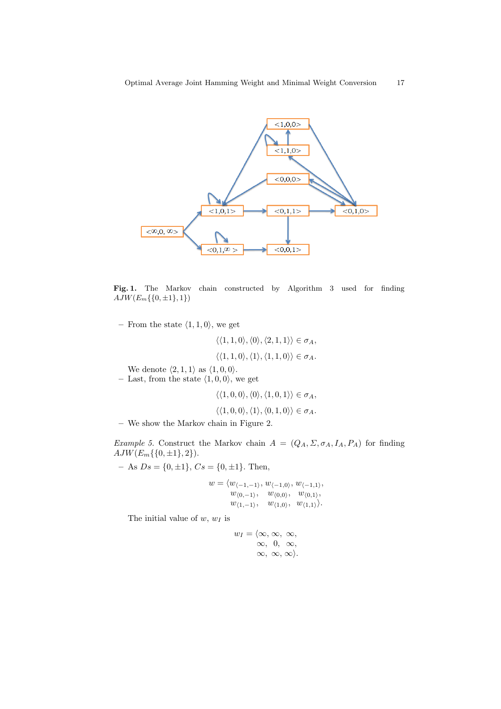

Fig. 1. The Markov chain constructed by Algorithm 3 used for finding  $AJW(E_m\{\{0, \pm 1\}, 1\})$ 

– From the state  $\langle 1, 1, 0 \rangle$ , we get

$$
\langle \langle 1, 1, 0 \rangle, \langle 0 \rangle, \langle 2, 1, 1 \rangle \rangle \in \sigma_A,
$$
  

$$
\langle \langle 1, 1, 0 \rangle, \langle 1 \rangle, \langle 1, 1, 0 \rangle \rangle \in \sigma_A.
$$

- We denote  $\langle 2, 1, 1 \rangle$  as  $\langle 1, 0, 0 \rangle$ .
- Last, from the state  $\langle 1, 0, 0 \rangle$ , we get

 $\langle \langle 1, 0, 0 \rangle, \langle 0 \rangle, \langle 1, 0, 1 \rangle \rangle \in \sigma_A,$  $\langle$  (1, 0, 0i, 0ii),  $\langle 0, 1, 0 \rangle$   $\in \sigma_A$ .

$$
\langle \langle 1,0,0\rangle, \langle 1\rangle, \langle 0,1,0\rangle\rangle \in \sigma_{\mathbb{A}}
$$

– We show the Markov chain in Figure 2.

Example 5. Construct the Markov chain  $A = (Q_A, \Sigma, \sigma_A, I_A, P_A)$  for finding  $AJW(E_m\{\{0,\pm 1\},2\}).$ 

– As  $Ds = \{0, \pm 1\}$ ,  $Cs = \{0, \pm 1\}$ . Then,

$$
w = \langle w_{\langle -1, -1 \rangle}, w_{\langle -1, 0 \rangle}, w_{\langle -1, 1 \rangle}, w_{\langle 0, 0 \rangle}, w_{\langle 0, 1 \rangle}, w_{\langle 0, 1 \rangle}, w_{\langle 1, -1 \rangle}, w_{\langle 1, 0 \rangle}, w_{\langle 1, 1 \rangle} \rangle.
$$

The initial value of  $w, w_I$  is

$$
w_I = \langle \infty, \infty, \infty, \\ \infty, 0, \infty, \\ \infty, \infty, \infty \rangle.
$$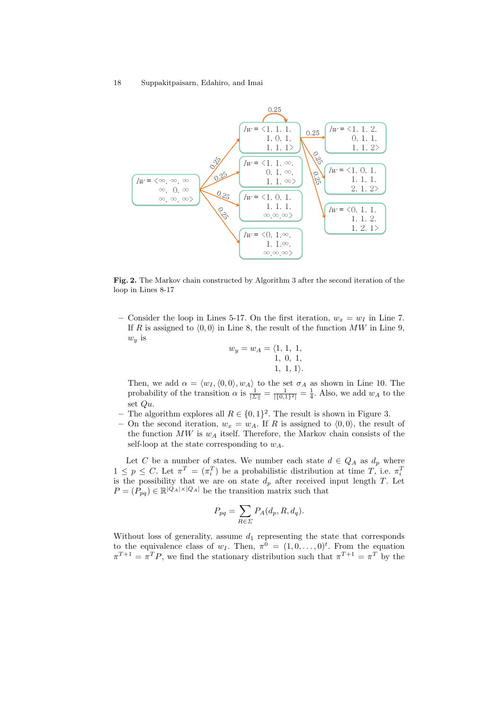

Fig. 2. The Markov chain constructed by Algorithm 3 after the second iteration of the loop in Lines 8-17

– Consider the loop in Lines 5-17. On the first iteration,  $w_x = w_I$  in Line 7. If R is assigned to  $(0, 0)$  in Line 8, the result of the function MW in Line 9,  $w_y$  is

$$
w_y = w_A = \langle 1, 1, 1, 1, 1, 1, 0, 1, 1, 1, 1 \rangle.
$$

Then, we add  $\alpha = \langle w_I, \langle 0, 0 \rangle, w_A \rangle$  to the set  $\sigma_A$  as shown in Line 10. The probability of the transition  $\alpha$  is  $\frac{1}{|\Sigma|} = \frac{1}{|\{0,1\}^2|} = \frac{1}{4}$ . Also, we add  $w_A$  to the set Qu.

- The algorithm explores all  $R \in \{0,1\}^2$ . The result is shown in Figure 3.
- On the second iteration,  $w_x = w_A$ . If R is assigned to  $\langle 0, 0 \rangle$ , the result of the function  $MW$  is  $w_A$  itself. Therefore, the Markov chain consists of the self-loop at the state corresponding to  $w_A$ .

Let C be a number of states. We number each state  $d \in Q_A$  as  $d_p$  where  $1 \leq p \leq C$ . Let  $\pi^T = (\pi_i^T)$  be a probabilistic distribution at time  $T$ , i.e.  $\pi_i^T$  is the possibility that we are on state  $d_p$  after received input length T. Let  $P = (P_{pq}) \in \mathbb{R}^{|Q_A| \times |Q_A|}$  be the transition matrix such that

$$
P_{pq} = \sum_{R \in \Sigma} P_A(d_p, R, d_q).
$$

Without loss of generality, assume  $d_1$  representing the state that corresponds to the equivalence class of  $w_I$ . Then,  $\pi^0 = (1, 0, \ldots, 0)^t$ . From the equation  $\pi^{T+1} = \pi^T P$ , we find the stationary distribution such that  $\pi^{T+1} = \pi^T$  by the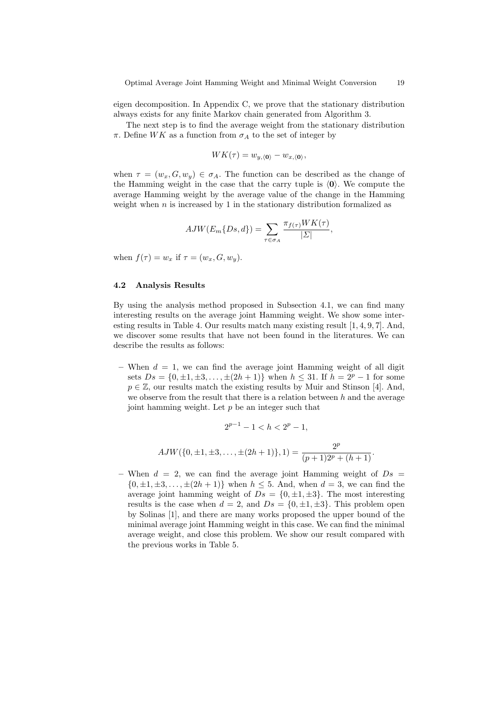eigen decomposition. In Appendix C, we prove that the stationary distribution always exists for any finite Markov chain generated from Algorithm 3.

The next step is to find the average weight from the stationary distribution  $\pi$ . Define WK as a function from  $\sigma_A$  to the set of integer by

$$
WK(\tau) = w_{y,\langle 0 \rangle} - w_{x,\langle 0 \rangle},
$$

when  $\tau = (w_x, G, w_y) \in \sigma_A$ . The function can be described as the change of the Hamming weight in the case that the carry tuple is  $(0)$ . We compute the average Hamming weight by the average value of the change in the Hamming weight when  $n$  is increased by 1 in the stationary distribution formalized as

$$
AJW(E_m\{Ds,d\}) = \sum_{\tau \in \sigma_A} \frac{\pi_{f(\tau)} W K(\tau)}{|\Sigma|},
$$

when  $f(\tau) = w_x$  if  $\tau = (w_x, G, w_y)$ .

#### 4.2 Analysis Results

By using the analysis method proposed in Subsection 4.1, we can find many interesting results on the average joint Hamming weight. We show some interesting results in Table 4. Our results match many existing result [1, 4, 9, 7]. And, we discover some results that have not been found in the literatures. We can describe the results as follows:

– When  $d = 1$ , we can find the average joint Hamming weight of all digit sets  $Ds = \{0, \pm 1, \pm 3, \ldots, \pm (2h + 1)\}\$  when  $h \leq 31$ . If  $h = 2^p - 1$  for some  $p \in \mathbb{Z}$ , our results match the existing results by Muir and Stinson [4]. And, we observe from the result that there is a relation between  $h$  and the average joint hamming weight. Let  $p$  be an integer such that

$$
2^{p-1} - 1 < h < 2^p - 1,
$$
\n
$$
AJW(\{0, \pm 1, \pm 3, \dots, \pm (2h+1)\}, 1) = \frac{2^p}{(p+1)2^p + (h+1)}.
$$

– When  $d = 2$ , we can find the average joint Hamming weight of  $Ds =$  $\{0, \pm 1, \pm 3, \ldots, \pm (2h + 1)\}\$  when  $h \leq 5$ . And, when  $d = 3$ , we can find the average joint hamming weight of  $Ds = \{0, \pm 1, \pm 3\}$ . The most interesting results is the case when  $d = 2$ , and  $Ds = \{0, \pm 1, \pm 3\}$ . This problem open by Solinas [1], and there are many works proposed the upper bound of the minimal average joint Hamming weight in this case. We can find the minimal average weight, and close this problem. We show our result compared with the previous works in Table 5.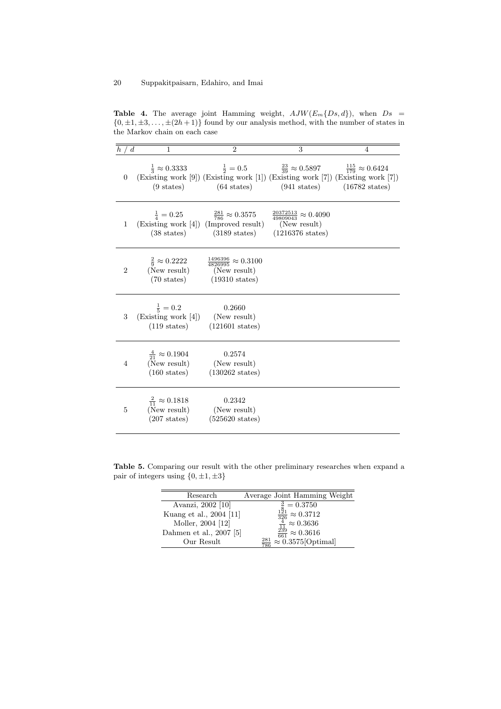Table 4. The average joint Hamming weight,  $AJW(E_m\{Ds, d\})$ , when  $Ds =$  $\{0, \pm 1, \pm 3, \ldots, \pm (2h + 1)\}\$  found by our analysis method, with the number of states in the Markov chain on each case

| d.             | 1                                                                                      | $\mathfrak{D}$                                                                                                                                                                                                               | 3                                                                                        | 4                        |
|----------------|----------------------------------------------------------------------------------------|------------------------------------------------------------------------------------------------------------------------------------------------------------------------------------------------------------------------------|------------------------------------------------------------------------------------------|--------------------------|
| $\theta$       | $(9 \text{ states})$                                                                   | $\frac{1}{3} \approx 0.3333$ $\frac{1}{2} = 0.5$ $\frac{23}{39} \approx 0.5897$ $\frac{115}{179} \approx 0.6424$<br>(Existing work [9]) (Existing work [1]) (Existing work [7]) (Existing work [7])<br>$(64 \text{ states})$ | $(941 \text{ states})$                                                                   | $(16782 \text{ states})$ |
| 1              | $\frac{1}{4} = 0.25$<br>(Existing work [4]) (Improved result)<br>$(38 \text{ states})$ | $\frac{281}{786} \approx 0.3575$<br>$(3189 \text{ states})$                                                                                                                                                                  | $\frac{20372513}{49809043} \approx 0.4090$<br>(New result)<br>$(1216376 \text{ states})$ |                          |
| $\overline{2}$ | $\frac{2}{9} \approx 0.2222$<br>(New result)<br>$(70 \text{ states})$                  | $\frac{1496396}{4826995} \approx 0.3100$<br>(New result)<br>$(19310 \text{ states})$                                                                                                                                         |                                                                                          |                          |
| 3              | $\frac{1}{5} = 0.2$<br>(Existing work [4])<br>$(119 \text{ states})$                   | 0.2660<br>(New result)<br>$(121601 \text{ states})$                                                                                                                                                                          |                                                                                          |                          |
| $\overline{4}$ | $\frac{4}{21} \approx 0.1904$<br>(New result)<br>$(160 \text{ states})$                | 0.2574<br>(New result)<br>$(130262 \text{ states})$                                                                                                                                                                          |                                                                                          |                          |
| 5              | $\frac{2}{11} \approx 0.1818$<br>(New result)<br>$(207 \text{ states})$                | 0.2342<br>(New result)<br>$(525620 \text{ states})$                                                                                                                                                                          |                                                                                          |                          |

Table 5. Comparing our result with the other preliminary researches when expand a pair of integers using  $\{0, \pm 1, \pm 3\}$ 

| Research                | Average Joint Hamming Weight                                                                                         |
|-------------------------|----------------------------------------------------------------------------------------------------------------------|
| Avanzi, 2002 [10]       | $\begin{array}{l} \frac{3}{8} = 0.3750 \\ \frac{121}{326} \approx 0.3712 \\ \frac{4}{11} \approx 0.3636 \end{array}$ |
| Kuang et al., 2004 [11] |                                                                                                                      |
| Moller, 2004 [12]       |                                                                                                                      |
| Dahmen et al., 2007 [5] |                                                                                                                      |
| Our Result              | $\frac{\frac{11}{239}}{\frac{281}{786}} \approx 0.3616$<br>$\frac{281}{786} \approx 0.3575[\text{Optimal}]$          |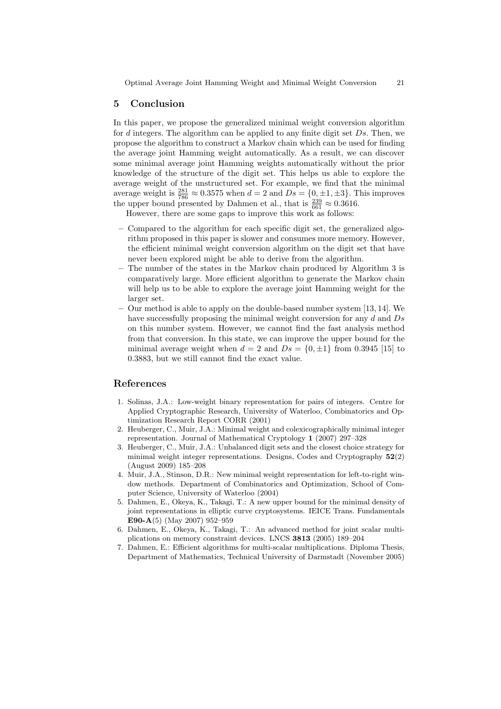#### 5 Conclusion

In this paper, we propose the generalized minimal weight conversion algorithm for  $d$  integers. The algorithm can be applied to any finite digit set  $Ds$ . Then, we propose the algorithm to construct a Markov chain which can be used for finding the average joint Hamming weight automatically. As a result, we can discover some minimal average joint Hamming weights automatically without the prior knowledge of the structure of the digit set. This helps us able to explore the average weight of the unstructured set. For example, we find that the minimal average weight is  $\frac{281}{786} \approx 0.3575$  when  $d = 2$  and  $Ds = \{0, \pm 1, \pm 3\}$ . This improves the upper bound presented by Dahmen et al., that is  $\frac{239}{661} \approx 0.3616$ .

However, there are some gaps to improve this work as follows:

- Compared to the algorithm for each specific digit set, the generalized algorithm proposed in this paper is slower and consumes more memory. However, the efficient minimal weight conversion algorithm on the digit set that have never been explored might be able to derive from the algorithm.
- The number of the states in the Markov chain produced by Algorithm 3 is comparatively large. More efficient algorithm to generate the Markov chain will help us to be able to explore the average joint Hamming weight for the larger set.
- Our method is able to apply on the double-based number system [13, 14]. We have successfully proposing the minimal weight conversion for any d and Ds on this number system. However, we cannot find the fast analysis method from that conversion. In this state, we can improve the upper bound for the minimal average weight when  $d = 2$  and  $Ds = \{0, \pm 1\}$  from 0.3945 [15] to 0.3883, but we still cannot find the exact value.

# References

- 1. Solinas, J.A.: Low-weight binary representation for pairs of integers. Centre for Applied Cryptographic Research, University of Waterloo, Combinatorics and Optimization Research Report CORR (2001)
- 2. Heuberger, C., Muir, J.A.: Minimal weight and colexicographically minimal integer representation. Journal of Mathematical Cryptology 1 (2007) 297–328
- 3. Heuberger, C., Muir, J.A.: Unbalanced digit sets and the closest choice strategy for minimal weight integer representations. Designs, Codes and Cryptography 52(2) (August 2009) 185–208
- 4. Muir, J.A., Stinson, D.R.: New minimal weight representation for left-to-right window methods. Department of Combinatorics and Optimization, School of Computer Science, University of Waterloo (2004)
- 5. Dahmen, E., Okeya, K., Takagi, T.: A new upper bound for the minimal density of joint representations in elliptic curve cryptosystems. IEICE Trans. Fundamentals E90-A(5) (May 2007) 952–959
- 6. Dahmen, E., Okeya, K., Takagi, T.: An advanced method for joint scalar multiplications on memory constraint devices. LNCS 3813 (2005) 189–204
- 7. Dahmen, E.: Efficient algorithms for multi-scalar multiplications. Diploma Thesis, Department of Mathematics, Technical University of Darmstadt (November 2005)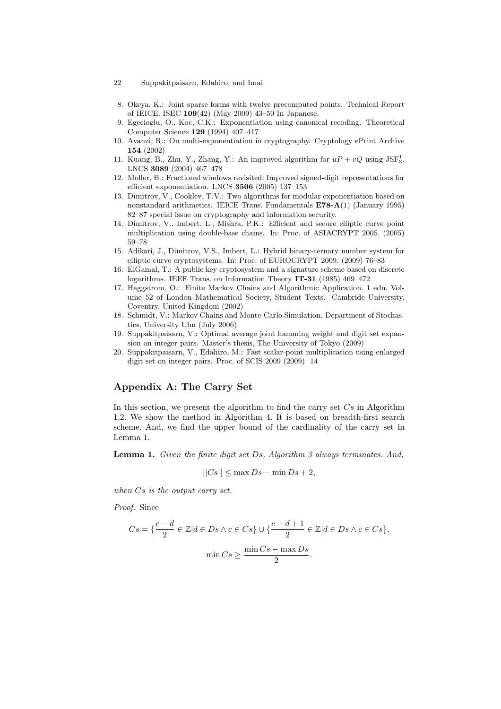- 8. Okeya, K.: Joint sparse forms with twelve precomputed points. Technical Report of IEICE. ISEC 109(42) (May 2009) 43–50 In Japanese.
- 9. Egecioglu, O., Koc, C.K.: Exponentiation using canonical recoding. Theoretical Computer Science 129 (1994) 407–417
- 10. Avanzi, R.: On multi-exponentiation in cryptography. Cryptology ePrint Archive 154 (2002)
- 11. Kuang, B., Zhu, Y., Zhang, Y.: An improved algorithm for  $uP + vQ$  using JSF<sup>1</sup><sub>3</sub>. LNCS 3089 (2004) 467–478
- 12. Moller, B.: Fractional windows revisited: Improved signed-digit representations for efficient exponentiation. LNCS 3506 (2005) 137–153
- 13. Dimitrov, V., Cooklev, T.V.: Two algorithms for modular exponentiation based on nonstandard arithmetics. IEICE Trans. Fundamentals E78-A(1) (January 1995) 82–87 special issue on cryptography and information security.
- 14. Dimitrov, V., Imbert, L., Mishra, P.K.: Efficient and secure elliptic curve point multiplication using double-base chains. In: Proc. of ASIACRYPT 2005. (2005) 59–78
- 15. Adikari, J., Dimitrov, V.S., Imbert, L.: Hybrid binary-ternary number system for elliptic curve cryptosystems. In: Proc. of EUROCRYPT 2009. (2009) 76–83
- 16. ElGamal, T.: A public key cryptosystem and a signature scheme based on discrete logarithms. IEEE Trans. on Information Theory IT-31 (1985) 469–472
- 17. Haggstrom, O.: Finite Markov Chains and Algorithmic Application. 1 edn. Volume 52 of London Mathematical Society, Student Texts. Cambride University, Coventry, United Kingdom (2002)
- 18. Schmidt, V.: Markov Chains and Monte-Carlo Simulation. Department of Stochastics, University Ulm (July 2006)
- 19. Suppakitpaisarn, V.: Optimal average joint hamming weight and digit set expansion on integer pairs. Master's thesis, The University of Tokyo (2009)
- 20. Suppakitpaisarn, V., Edahiro, M.: Fast scalar-point multiplication using enlarged digit set on integer pairs. Proc. of SCIS 2009 (2009) 14

# Appendix A: The Carry Set

In this section, we present the algorithm to find the carry set  $Cs$  in Algorithm 1,2. We show the method in Algorithm 4. It is based on breadth-first search scheme. And, we find the upper bound of the cardinality of the carry set in Lemma 1.

Lemma 1. Given the finite digit set Ds, Algorithm 3 always terminates. And,

$$
||Cs|| \le \max Ds - \min Ds + 2,
$$

when Cs is the output carry set.

Proof. Since

$$
Cs = \left\{ \frac{c - d}{2} \in \mathbb{Z} | d \in Ds \land c \in Cs \right\} \cup \left\{ \frac{c - d + 1}{2} \in \mathbb{Z} | d \in Ds \land c \in Cs \right\},\
$$

$$
\min Cs \ge \frac{\min Cs - \max Ds}{2}.
$$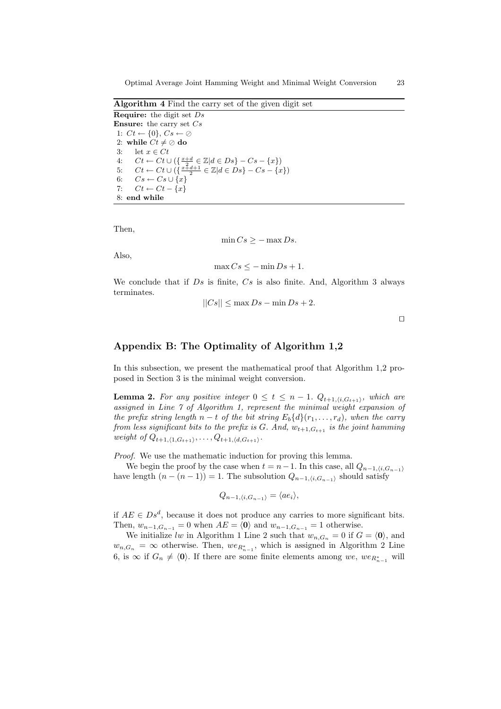Algorithm 4 Find the carry set of the given digit set

**Require:** the digit set  $Ds$ **Ensure:** the carry set  $Cs$ 1:  $Ct \leftarrow \{0\}, Cs \leftarrow \emptyset$ 2: while  $Ct \neq \emptyset$  do 3: let  $x \in Ct$ 4:  $Ct \leftarrow Ct \cup (\{\frac{x+d}{2} \in \mathbb{Z} | d \in Ds\} - Cs - \{x\})$ 5:  $Ct \leftarrow Ct \cup (\{\frac{x+4+1}{2} \in \mathbb{Z} | d \in Ds\} - Cs - \{x\})$ 6:  $Cs \leftarrow Cs \cup \{x\}$ 7:  $Ct \leftarrow Ct - \{x\}$ 8: end while

Then,

$$
\min Cs \ge -\max Ds.
$$

Also,

$$
\max Cs \le -\min Ds + 1.
$$

We conclude that if  $Ds$  is finite,  $Cs$  is also finite. And, Algorithm 3 always terminates.

$$
||Cs|| \le \max Ds - \min Ds + 2.
$$

 $\Box$ 

## Appendix B: The Optimality of Algorithm 1,2

In this subsection, we present the mathematical proof that Algorithm 1,2 proposed in Section 3 is the minimal weight conversion.

**Lemma 2.** For any positive integer  $0 \le t \le n - 1$ .  $Q_{t+1,(i,G_{t+1})}$ , which are assigned in Line 7 of Algorithm 1, represent the minimal weight expansion of the prefix string length  $n - t$  of the bit string  $E_b\{d\}(r_1, \ldots, r_d)$ , when the carry from less significant bits to the prefix is G. And,  $w_{t+1,G_{t+1}}$  is the joint hamming weight of  $Q_{t+1,\langle 1,G_{t+1}\rangle}, \ldots, Q_{t+1,\langle d,G_{t+1}\rangle}.$ 

Proof. We use the mathematic induction for proving this lemma.

We begin the proof by the case when  $t = n-1$ . In this case, all  $Q_{n-1,i,G_{n-1}}$ have length  $(n - (n - 1)) = 1$ . The subsolution  $Q_{n-1,(i,G_{n-1})}$  should satisfy

$$
Q_{n-1,\langle i,G_{n-1}\rangle}=\langle ae_i\rangle,
$$

if  $AE \in Ds^d$ , because it does not produce any carries to more significant bits. Then,  $w_{n-1,G_{n-1}} = 0$  when  $AE = \langle 0 \rangle$  and  $w_{n-1,G_{n-1}} = 1$  otherwise.

We initialize lw in Algorithm 1 Line 2 such that  $w_{n,G_n} = 0$  if  $G = \langle 0 \rangle$ , and  $w_{n,G_n} = \infty$  otherwise. Then,  $we_{R_{n-1}^*}$ , which is assigned in Algorithm 2 Line 6, is ∞ if  $G_n \neq \langle 0 \rangle$ . If there are some finite elements among we, we<sub>R<sup>\*</sup>n-1</sub> will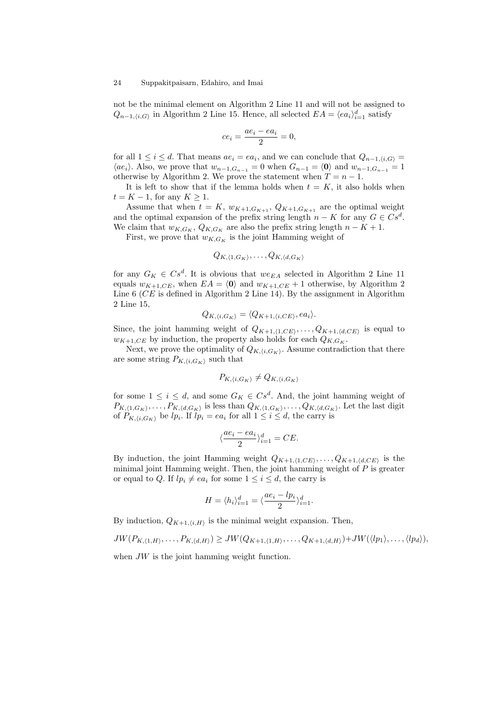not be the minimal element on Algorithm 2 Line 11 and will not be assigned to  $Q_{n-1,(i,G)}$  in Algorithm 2 Line 15. Hence, all selected  $EA = \langle ea_i \rangle_{i=1}^d$  satisfy

$$
ce_i = \frac{ae_i - ea_i}{2} = 0,
$$

for all  $1 \leq i \leq d$ . That means  $ae_i = ea_i$ , and we can conclude that  $Q_{n-1,(i,G)} =$  $\langle ae_i\rangle$ . Also, we prove that  $w_{n-1,G_{n-1}} = 0$  when  $G_{n-1} = \langle 0 \rangle$  and  $w_{n-1,G_{n-1}} = 1$ otherwise by Algorithm 2. We prove the statement when  $T = n - 1$ .

It is left to show that if the lemma holds when  $t = K$ , it also holds when  $t = K - 1$ , for any  $K \geq 1$ .

Assume that when  $t = K$ ,  $w_{K+1,G_{K+1}}$ ,  $Q_{K+1,G_{K+1}}$  are the optimal weight and the optimal expansion of the prefix string length  $n - K$  for any  $G \in Cs^d$ . We claim that  $w_{K,G_K}, Q_{K,G_K}$  are also the prefix string length  $n - K + 1$ .

First, we prove that  $w_{K,G_K}$  is the joint Hamming weight of

$$
Q_{K,\langle 1,G_K\rangle},\ldots,Q_{K,\langle d,G_K\rangle}
$$

for any  $G_K \in Cs^d$ . It is obvious that  $we_{EA}$  selected in Algorithm 2 Line 11 equals  $w_{K+1,CE}$ , when  $EA = \langle 0 \rangle$  and  $w_{K+1,CE} + 1$  otherwise, by Algorithm 2 Line  $6$  (*CE* is defined in Algorithm 2 Line 14). By the assignment in Algorithm 2 Line 15,

$$
Q_{K,\langle i,G_K \rangle} = \langle Q_{K+1,\langle i,CE \rangle}, ea_i \rangle.
$$

Since, the joint hamming weight of  $Q_{K+1,(1,CE)}, \ldots, Q_{K+1,(d,CE)}$  is equal to  $w_{K+1,CE}$  by induction, the property also holds for each  $Q_{K,G_K}$ .

Next, we prove the optimality of  $Q_{K,\langle i,G_K\rangle}$ . Assume contradiction that there are some string  $P_{K,\langle i,G_K\rangle}$  such that

$$
P_{K,\langle i,G_K \rangle} \neq Q_{K,\langle i,G_K \rangle}
$$

for some  $1 \leq i \leq d$ , and some  $G_K \in Cs^d$ . And, the joint hamming weight of  $P_{K,(1,G_K)},\ldots,P_{K,(d,G_K)}$  is less than  $Q_{K,(1,G_K)},\ldots,Q_{K,(d,G_K)}$ . Let the last digit of  $P_{K,\langle i,G_K \rangle}$  be  $lp_i$ . If  $lp_i = ea_i$  for all  $1 \leq i \leq d$ , the carry is

$$
\langle \frac{ae_i - ea_i}{2} \rangle_{i=1}^d = CE.
$$

By induction, the joint Hamming weight  $Q_{K+1,(1,CE)}, \ldots, Q_{K+1,(d,CE)}$  is the minimal joint Hamming weight. Then, the joint hamming weight of  $P$  is greater or equal to Q. If  $lp_i \neq ea_i$  for some  $1 \leq i \leq d$ , the carry is

$$
H = \langle h_i \rangle_{i=1}^d = \langle \frac{ae_i - lp_i}{2} \rangle_{i=1}^d.
$$

By induction,  $Q_{K+1,\langle i,H\rangle}$  is the minimal weight expansion. Then,

$$
JW(P_{K,\langle 1,H\rangle},\ldots,P_{K,\langle d,H\rangle})\geq JW(Q_{K+1,\langle 1,H\rangle},\ldots,Q_{K+1,\langle d,H\rangle})+JW(\langle lp_1\rangle,\ldots,\langle lp_d\rangle),
$$

when  $JW$  is the joint hamming weight function.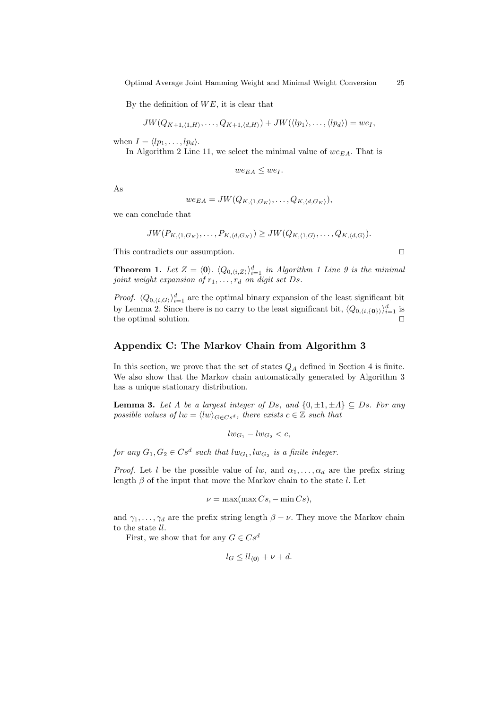By the definition of  $WE$ , it is clear that

$$
JW(Q_{K+1,\langle 1,H\rangle},\ldots,Q_{K+1,\langle d,H\rangle})+JW(\langle lp_1\rangle,\ldots,\langle lp_d\rangle)=we_1,
$$

when  $I = \langle lp_1, \ldots, lp_d \rangle$ .

In Algorithm 2 Line 11, we select the minimal value of  $we_{EA}$ . That is

$$
we_{EA} \leq we_I.
$$

As

$$
we_{EA} = JW(Q_{K,\langle 1,G_K\rangle},\ldots,Q_{K,\langle d,G_K\rangle}),
$$

we can conclude that

$$
JW(P_{K,\langle 1,G_K\rangle},\ldots,P_{K,\langle d,G_K\rangle})\geq JW(Q_{K,\langle 1,G\rangle},\ldots,Q_{K,\langle d,G\rangle}).
$$

This contradicts our assumption.  $\Box$ 

**Theorem 1.** Let  $Z = \langle 0 \rangle$ .  $\langle Q_{0,\langle i,Z \rangle} \rangle_{i=1}^d$  in Algorithm 1 Line 9 is the minimal joint weight expansion of  $r_1, \ldots, r_d$  on digit set Ds.

*Proof.*  $\langle Q_{0,\langle i,G \rangle} \rangle_{i=1}^d$  are the optimal binary expansion of the least significant bit by Lemma 2. Since there is no carry to the least significant bit,  $\langle Q_{0,\langle i,\{0\}\rangle}\rangle_{i=1}^d$  is the optimal solution.

### Appendix C: The Markov Chain from Algorithm 3

In this section, we prove that the set of states  $Q_A$  defined in Section 4 is finite. We also show that the Markov chain automatically generated by Algorithm 3 has a unique stationary distribution.

**Lemma 3.** Let  $\Lambda$  be a largest integer of Ds, and  $\{0, \pm 1, \pm \Lambda\} \subseteq Ds$ . For any possible values of  $lw = \langle lw \rangle_{G \in Cs^d}$ , there exists  $c \in \mathbb{Z}$  such that

$$
lw_{G_1}-lw_{G_2}
$$

for any  $G_1, G_2 \in Cs^d$  such that  $lw_{G_1}, lw_{G_2}$  is a finite integer.

*Proof.* Let l be the possible value of lw, and  $\alpha_1, \ldots, \alpha_d$  are the prefix string length  $\beta$  of the input that move the Markov chain to the state l. Let

$$
\nu = \max(\max Cs, -\min Cs),
$$

and  $\gamma_1, \ldots, \gamma_d$  are the prefix string length  $\beta - \nu$ . They move the Markov chain to the state ll.

First, we show that for any  $G \in Cs^d$ 

$$
l_G \leq l l_{\langle 0 \rangle} + \nu + d.
$$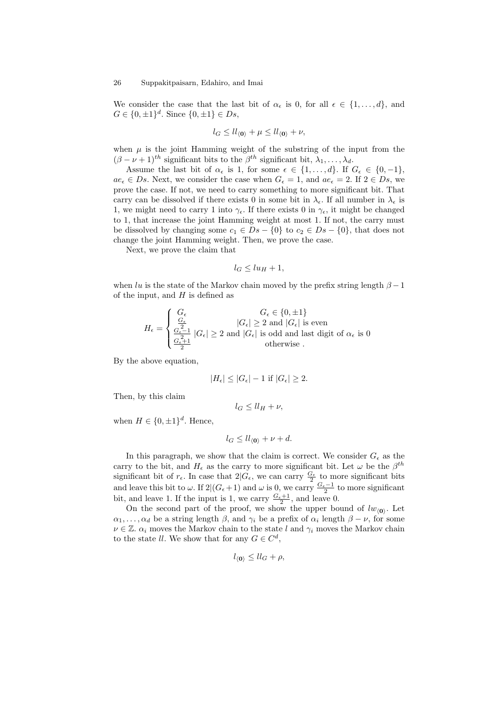We consider the case that the last bit of  $\alpha_{\epsilon}$  is 0, for all  $\epsilon \in \{1, \ldots, d\}$ , and  $G \in \{0, \pm 1\}^d$ . Since  $\{0, \pm 1\} \in Ds$ ,

$$
l_G \leq ll_{\langle 0 \rangle} + \mu \leq ll_{\langle 0 \rangle} + \nu,
$$

when  $\mu$  is the joint Hamming weight of the substring of the input from the  $(\beta - \nu + 1)^{th}$  significant bits to the  $\beta^{th}$  significant bit,  $\lambda_1, \ldots, \lambda_d$ .

Assume the last bit of  $\alpha_{\epsilon}$  is 1, for some  $\epsilon \in \{1, \ldots, d\}$ . If  $G_{\epsilon} \in \{0, -1\}$ ,  $ae_{\epsilon} \in Ds$ . Next, we consider the case when  $G_{\epsilon} = 1$ , and  $ae_{\epsilon} = 2$ . If  $2 \in Ds$ , we prove the case. If not, we need to carry something to more significant bit. That carry can be dissolved if there exists 0 in some bit in  $\lambda_{\epsilon}$ . If all number in  $\lambda_{\epsilon}$  is 1, we might need to carry 1 into  $\gamma_{\epsilon}$ . If there exists 0 in  $\gamma_{\epsilon}$ , it might be changed to 1, that increase the joint Hamming weight at most 1. If not, the carry must be dissolved by changing some  $c_1 \in Ds - \{0\}$  to  $c_2 \in Ds - \{0\}$ , that does not change the joint Hamming weight. Then, we prove the case.

Next, we prove the claim that

$$
l_G \leq lu_H+1,
$$

when lu is the state of the Markov chain moved by the prefix string length  $\beta - 1$ of the input, and  $H$  is defined as

$$
H_{\epsilon} = \begin{cases} \nG_{\epsilon} & G_{\epsilon} \in \{0, \pm 1\} \\ \n\frac{G_{\epsilon}}{2} & |G_{\epsilon}| \geq 2 \text{ and } |G_{\epsilon}| \text{ is even} \\ \n\frac{G_{\epsilon}-1}{2} & |G_{\epsilon}| \geq 2 \text{ and } |G_{\epsilon}| \text{ is odd and last digit of } \alpha_{\epsilon} \text{ is 0} \\ \n\frac{G_{\epsilon}+1}{2} & \text{otherwise} \n\end{cases}
$$

By the above equation,

$$
|H_{\epsilon}| \le |G_{\epsilon}| - 1 \text{ if } |G_{\epsilon}| \ge 2.
$$

Then, by this claim

$$
l_G \leq l l_H + \nu,
$$

when  $H \in \{0, \pm 1\}^d$ . Hence,

$$
l_G \leq l l_{\langle 0 \rangle} + \nu + d.
$$

In this paragraph, we show that the claim is correct. We consider  $G_{\epsilon}$  as the carry to the bit, and  $H_{\epsilon}$  as the carry to more significant bit. Let  $\omega$  be the  $\beta^{th}$ significant bit of  $r_{\epsilon}$ . In case that  $2|G_{\epsilon}$ , we can carry  $\frac{G_{\epsilon}}{2}$  to more significant bits and leave this bit to  $\omega$ . If 2 $|(G_{\epsilon}+1)$  and  $\omega$  is 0, we carry  $\frac{G_{\epsilon}-1}{2}$  to more significant bit, and leave 1. If the input is 1, we carry  $\frac{G_{\epsilon}+1}{2}$ , and leave 0.

On the second part of the proof, we show the upper bound of  $lw_{(0)}$ . Let  $\alpha_1, \ldots, \alpha_d$  be a string length  $\beta$ , and  $\gamma_i$  be a prefix of  $\alpha_i$  length  $\beta - \nu$ , for some  $\nu \in \mathbb{Z}$ .  $\alpha_i$  moves the Markov chain to the state l and  $\gamma_i$  moves the Markov chain to the state ll. We show that for any  $G \in \mathbb{C}^d$ ,

$$
l_{\langle 0 \rangle} \leq l l_G + \rho,
$$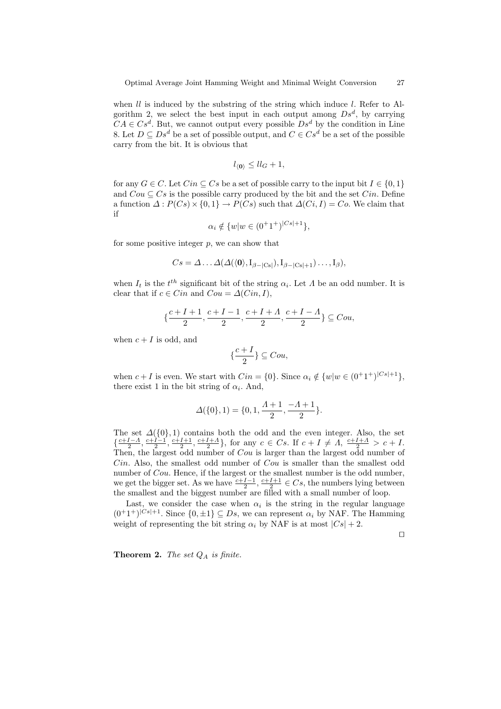when  $ll$  is induced by the substring of the string which induce  $l$ . Refer to Algorithm 2, we select the best input in each output among  $Ds^d$ , by carrying  $CA \in Cs^d$ . But, we cannot output every possible  $Ds^d$  by the condition in Line 8. Let  $D \subseteq Ds^d$  be a set of possible output, and  $C \in Cs^d$  be a set of the possible carry from the bit. It is obvious that

$$
l_{\langle 0 \rangle} \leq l l_G + 1,
$$

for any  $G \in \mathcal{C}$ . Let  $Cin \subset \mathcal{C}$  be a set of possible carry to the input bit  $I \in \{0,1\}$ and  $Cou \subseteq Cs$  is the possible carry produced by the bit and the set  $Cin$ . Define a function  $\Delta : P(Cs) \times \{0,1\} \rightarrow P(Cs)$  such that  $\Delta(Ci, I) = Co$ . We claim that if

$$
\alpha_i \notin \{w | w \in (0^+1^+)^{|Cs|+1}\},\
$$

for some positive integer  $p$ , we can show that

$$
Cs = \Delta \dots \Delta(\Delta(\langle 0 \rangle, I_{\beta-|Cs|}), I_{\beta-|Cs|+1}) \dots, I_{\beta}),
$$

when  $I_t$  is the  $t^{th}$  significant bit of the string  $\alpha_i$ . Let  $\Lambda$  be an odd number. It is clear that if  $c \in Cin$  and  $Cou = \Delta(Cin, I)$ ,

$$
\{\frac{c+I+1}{2},\frac{c+I-1}{2},\frac{c+I+A}{2},\frac{c+I-A}{2}\}\subseteq Cou,
$$

when  $c + I$  is odd, and

$$
\{\frac{c+I}{2}\}\subseteq Cou,
$$

when  $c + I$  is even. We start with  $Cin = \{0\}$ . Since  $\alpha_i \notin \{w | w \in (0^+1^+)^{|Cs|+1}\},$ there exist 1 in the bit string of  $\alpha_i$ . And,

$$
\varDelta(\{0\},1)=\{0,1,\frac{\varLambda+1}{2},\frac{-\varLambda+1}{2}\}.
$$

The set  $\Delta({0}, 1)$  contains both the odd and the even integer. Also, the set  $\{\frac{c+I-A}{2}, \frac{c+I-1}{2}, \frac{c+I+1}{2}, \frac{c+I+A}{2}\},$  for any  $c \in Cs$ . If  $c+I \neq A$ ,  $\frac{c+I+A}{2} > c+I$ . Then, the largest odd number of Cou is larger than the largest odd number of  $Cin$ . Also, the smallest odd number of  $Cou$  is smaller than the smallest odd number of *Cou*. Hence, if the largest or the smallest number is the odd number, we get the bigger set. As we have  $\frac{c+I-1}{2}, \frac{c+I+1}{2} \in C_s$ , the numbers lying between the smallest and the biggest number are filled with a small number of loop.

Last, we consider the case when  $\alpha_i$  is the string in the regular language  $(0^+1^+)^{|Cs|+1}$ . Since  $\{0,\pm 1\}\subseteq Ds$ , we can represent  $\alpha_i$  by NAF. The Hamming weight of representing the bit string  $\alpha_i$  by NAF is at most  $|Cs| + 2$ .

 $\Box$ 

**Theorem 2.** The set  $Q_A$  is finite.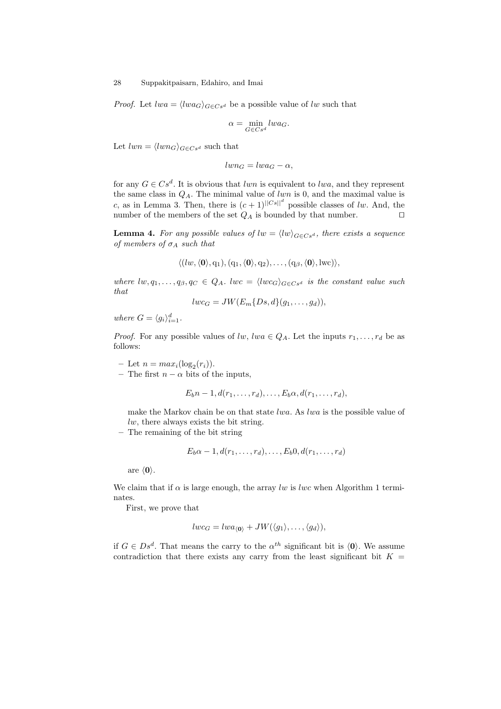*Proof.* Let  $lwa = \langle lwa_G \rangle_{G \in Cs^d}$  be a possible value of lw such that

$$
\alpha=\min_{G\in Cs^d}lwa_G.
$$

Let  $lwn = \langle lwn_G \rangle_{G \in Cs^d}$  such that

$$
lwn_G = lwa_G - \alpha,
$$

for any  $G \in Cs^d$ . It is obvious that lwn is equivalent to lwa, and they represent the same class in  $Q_A$ . The minimal value of lwn is 0, and the maximal value is c, as in Lemma 3. Then, there is  $(c+1)^{||Cs||^d}$  possible classes of lw. And, the number of the members of the set  $Q_A$  is bounded by that number.  $\square$ 

**Lemma 4.** For any possible values of  $lw = \langle lw \rangle_{G \in Cs^d}$ , there exists a sequence of members of  $\sigma_A$  such that

$$
\langle (lw, \langle \mathbf{0} \rangle, q_1), (q_1, \langle \mathbf{0} \rangle, q_2), \dots, (q_\beta, \langle \mathbf{0} \rangle, \text{lwc}) \rangle,
$$

where  $lw, q_1, \ldots, q_\beta, q_C \in Q_A$ .  $lwc = \langle lwc_G \rangle_{G \in Cs^d}$  is the constant value such that

$$
lwc_G = JW(E_m\{Ds, d\}(g_1, \ldots, g_d)),
$$

where  $G = \langle g_i \rangle_{i=1}^d$ .

*Proof.* For any possible values of lw, lwa  $\in Q_A$ . Let the inputs  $r_1, \ldots, r_d$  be as follows:

- Let  $n = max<sub>i</sub>(log<sub>2</sub>(r<sub>i</sub>)).$ 

– The first  $n - \alpha$  bits of the inputs,

$$
E_b n-1, d(r_1,\ldots,r_d),\ldots,E_b \alpha, d(r_1,\ldots,r_d),
$$

make the Markov chain be on that state lwa. As lwa is the possible value of  $lw$ , there always exists the bit string.

– The remaining of the bit string

$$
E_b\alpha-1,d(r_1,\ldots,r_d),\ldots,E_b0,d(r_1,\ldots,r_d)
$$

are  $\langle 0 \rangle$ .

We claim that if  $\alpha$  is large enough, the array lw is lwc when Algorithm 1 terminates.

First, we prove that

$$
lwc_G = lwa_{\langle \mathbf{0} \rangle} + JW(\langle g_1 \rangle, \dots, \langle g_d \rangle),
$$

if  $G \in Ds^d$ . That means the carry to the  $\alpha^{th}$  significant bit is  $\langle 0 \rangle$ . We assume contradiction that there exists any carry from the least significant bit  $K =$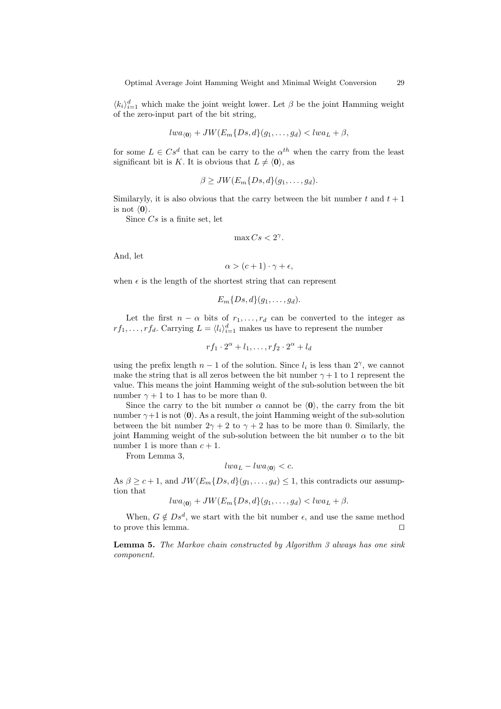$\langle k_i \rangle_{i=1}^d$  which make the joint weight lower. Let  $\beta$  be the joint Hamming weight of the zero-input part of the bit string,

$$
lwa_{\langle \mathbf{0}\rangle} + JW(E_m\{Ds, d\}(g_1, \ldots, g_d) < lwa_L + \beta,
$$

for some  $L \in Cs^d$  that can be carry to the  $\alpha^{th}$  when the carry from the least significant bit is K. It is obvious that  $L \neq \langle 0 \rangle$ , as

$$
\beta \geq JW(E_m\{Ds,d\}(g_1,\ldots,g_d).
$$

Similaryly, it is also obvious that the carry between the bit number t and  $t + 1$ is not  $\langle 0 \rangle$ .

Since  $Cs$  is a finite set, let

$$
\max Cs < 2^{\gamma}.
$$

And, let

$$
\alpha > (c+1)\cdot \gamma + \epsilon,
$$

when  $\epsilon$  is the length of the shortest string that can represent

$$
E_m\{Ds,d\}(g_1,\ldots,g_d).
$$

Let the first  $n - \alpha$  bits of  $r_1, \ldots, r_d$  can be converted to the integer as  $rf_1, \ldots, rf_d$ . Carrying  $L = \langle l_i \rangle_{i=1}^d$  makes us have to represent the number

$$
rf_1 \cdot 2^{\alpha} + l_1, \dots, rf_2 \cdot 2^{\alpha} + l_d
$$

using the prefix length  $n-1$  of the solution. Since  $l_i$  is less than  $2^{\gamma}$ , we cannot make the string that is all zeros between the bit number  $\gamma + 1$  to 1 represent the value. This means the joint Hamming weight of the sub-solution between the bit number  $\gamma + 1$  to 1 has to be more than 0.

Since the carry to the bit number  $\alpha$  cannot be  $\langle 0 \rangle$ , the carry from the bit number  $\gamma+1$  is not  $\langle 0 \rangle$ . As a result, the joint Hamming weight of the sub-solution between the bit number  $2\gamma + 2$  to  $\gamma + 2$  has to be more than 0. Similarly, the joint Hamming weight of the sub-solution between the bit number  $\alpha$  to the bit number 1 is more than  $c + 1$ .

From Lemma 3,

$$
lwa_L - lwa_{\langle 0 \rangle} < c.
$$

As  $\beta \geq c+1$ , and  $JW(E_m\{Ds, d\}(g_1, \ldots, g_d) \leq 1$ , this contradicts our assumption that

 $lwa_{(0)} + JW(E_m\{Ds, d\}(g_1, \ldots, g_d) < lwa_L + \beta.$ 

When,  $G \notin Ds^d$ , we start with the bit number  $\epsilon$ , and use the same method to prove this lemma.  $\Box$ 

Lemma 5. The Markov chain constructed by Algorithm 3 always has one sink component.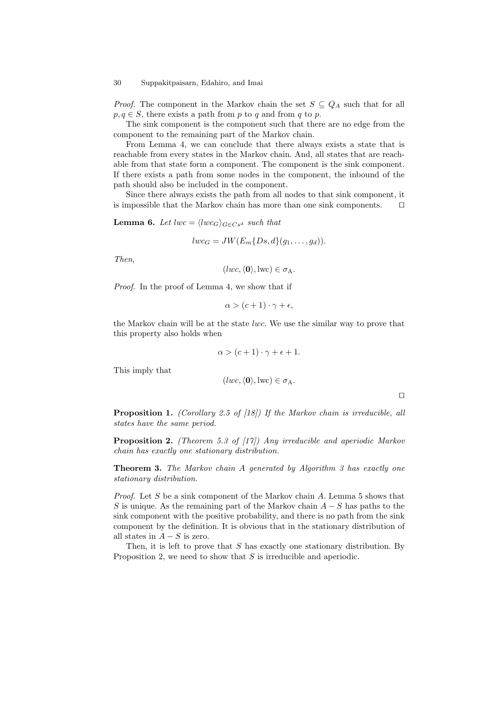*Proof.* The component in the Markov chain the set  $S \subseteq Q_A$  such that for all  $p, q \in S$ , there exists a path from p to q and from q to p.

The sink component is the component such that there are no edge from the component to the remaining part of the Markov chain.

From Lemma 4, we can conclude that there always exists a state that is reachable from every states in the Markov chain. And, all states that are reachable from that state form a component. The component is the sink component. If there exists a path from some nodes in the component, the inbound of the path should also be included in the component.

Since there always exists the path from all nodes to that sink component, it is impossible that the Markov chain has more than one sink components.  $\square$ 

**Lemma 6.** Let  $lwc = \langle lwc_G \rangle_{G \in Cs^d}$  such that

$$
lwc_G = JW(E_m\{Ds, d\}(g_1, \ldots, g_d)).
$$

Then,

This imply that

 $(lwc, \langle 0 \rangle, \text{lwc}) \in \sigma_A$ .

Proof. In the proof of Lemma 4, we show that if

$$
\alpha > (c+1)\cdot \gamma + \epsilon,
$$

the Markov chain will be at the state *lwc*. We use the similar way to prove that this property also holds when

$$
\alpha > (c+1) \cdot \gamma + \epsilon + 1.
$$

$$
(lwc, \langle 0 \rangle, \text{lwc}) \in \sigma_A.
$$

 $\Box$ 

Proposition 1. (Corollary 2.5 of [18]) If the Markov chain is irreducible, all states have the same period.

**Proposition 2.** (Theorem 5.3 of  $\vert 17 \vert$ ) Any irreducible and aperiodic Markov chain has exactly one stationary distribution.

Theorem 3. The Markov chain A generated by Algorithm 3 has exactly one stationary distribution.

*Proof.* Let S be a sink component of the Markov chain  $A$ . Lemma 5 shows that S is unique. As the remaining part of the Markov chain  $A - S$  has paths to the sink component with the positive probability, and there is no path from the sink component by the definition. It is obvious that in the stationary distribution of all states in  $A - S$  is zero.

Then, it is left to prove that  $S$  has exactly one stationary distribution. By Proposition 2, we need to show that  $S$  is irreducible and aperiodic.